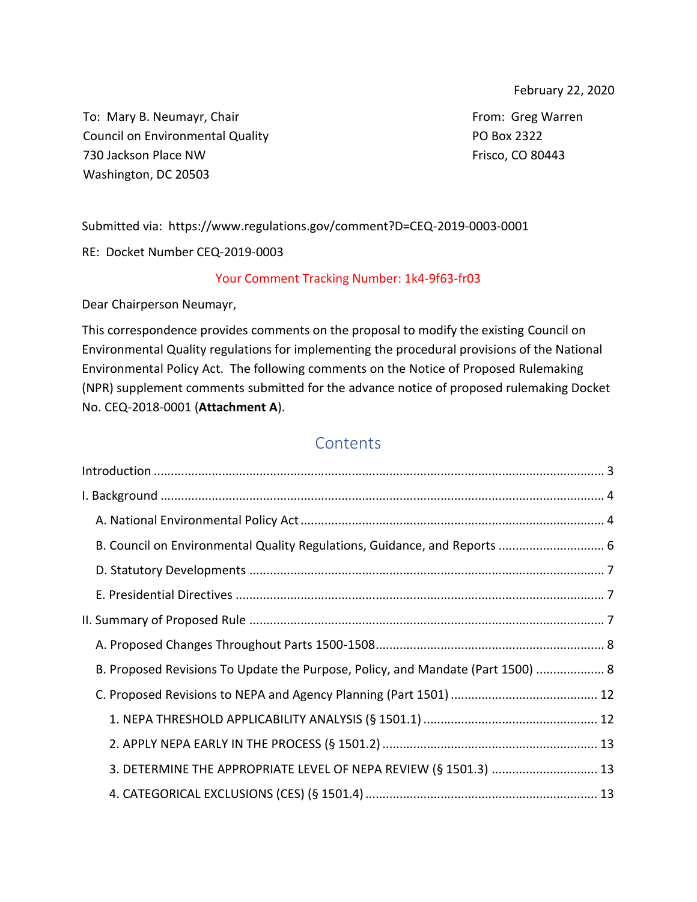February 22, 2020

To: Mary B. Neumayr, Chair Council on Environmental Quality 730 Jackson Place NW Washington, DC 20503

From: Greg Warren PO Box 2322 Frisco, CO 80443

Submitted via: https://www.regulations.gov/comment?D=CEQ-2019-0003-0001

RE: Docket Number CEQ-2019-0003

#### Your Comment Tracking Number: 1k4-9f63-fr03

Dear Chairperson Neumayr,

This correspondence provides comments on the proposal to modify the existing Council on Environmental Quality regulations for implementing the procedural provisions of the National Environmental Policy Act. The following comments on the Notice of Proposed Rulemaking (NPR) supplement comments submitted for the advance notice of proposed rulemaking Docket No. CEQ-2018-0001 (**Attachment A**).

# **Contents**

| B. Council on Environmental Quality Regulations, Guidance, and Reports  6       |  |
|---------------------------------------------------------------------------------|--|
|                                                                                 |  |
|                                                                                 |  |
|                                                                                 |  |
|                                                                                 |  |
| B. Proposed Revisions To Update the Purpose, Policy, and Mandate (Part 1500)  8 |  |
|                                                                                 |  |
|                                                                                 |  |
|                                                                                 |  |
| 3. DETERMINE THE APPROPRIATE LEVEL OF NEPA REVIEW (§ 1501.3)  13                |  |
|                                                                                 |  |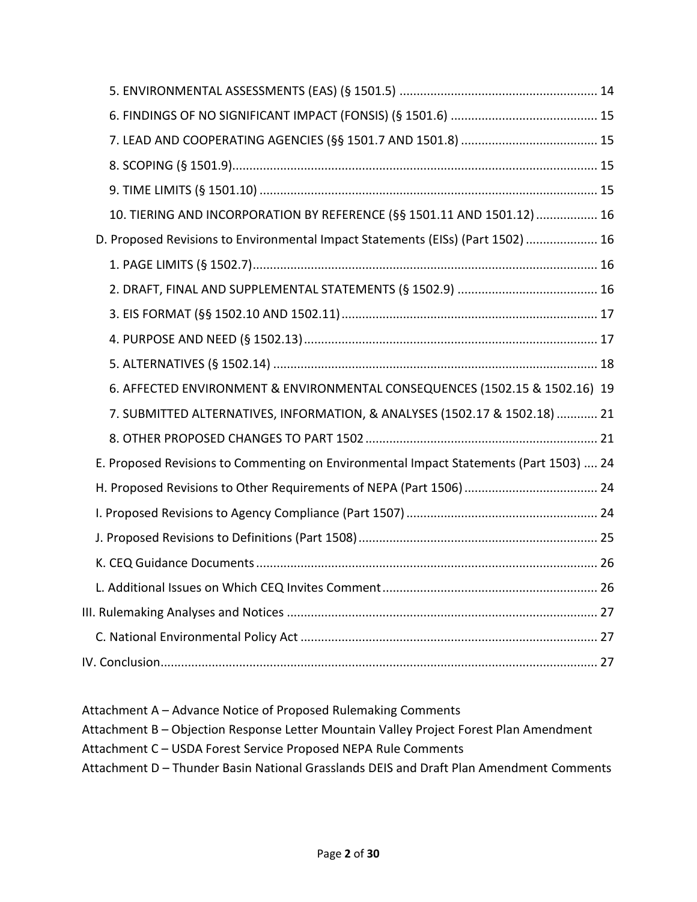| 10. TIERING AND INCORPORATION BY REFERENCE (§§ 1501.11 AND 1501.12) 16                 |  |
|----------------------------------------------------------------------------------------|--|
| D. Proposed Revisions to Environmental Impact Statements (EISs) (Part 1502)  16        |  |
|                                                                                        |  |
|                                                                                        |  |
|                                                                                        |  |
|                                                                                        |  |
|                                                                                        |  |
| 6. AFFECTED ENVIRONMENT & ENVIRONMENTAL CONSEQUENCES (1502.15 & 1502.16) 19            |  |
| 7. SUBMITTED ALTERNATIVES, INFORMATION, & ANALYSES (1502.17 & 1502.18)  21             |  |
|                                                                                        |  |
| E. Proposed Revisions to Commenting on Environmental Impact Statements (Part 1503)  24 |  |
|                                                                                        |  |
|                                                                                        |  |
|                                                                                        |  |
|                                                                                        |  |
|                                                                                        |  |
|                                                                                        |  |
|                                                                                        |  |
|                                                                                        |  |

Attachment A – Advance Notice of Proposed Rulemaking Comments Attachment B – Objection Response Letter Mountain Valley Project Forest Plan Amendment Attachment C – USDA Forest Service Proposed NEPA Rule Comments Attachment D – Thunder Basin National Grasslands DEIS and Draft Plan Amendment Comments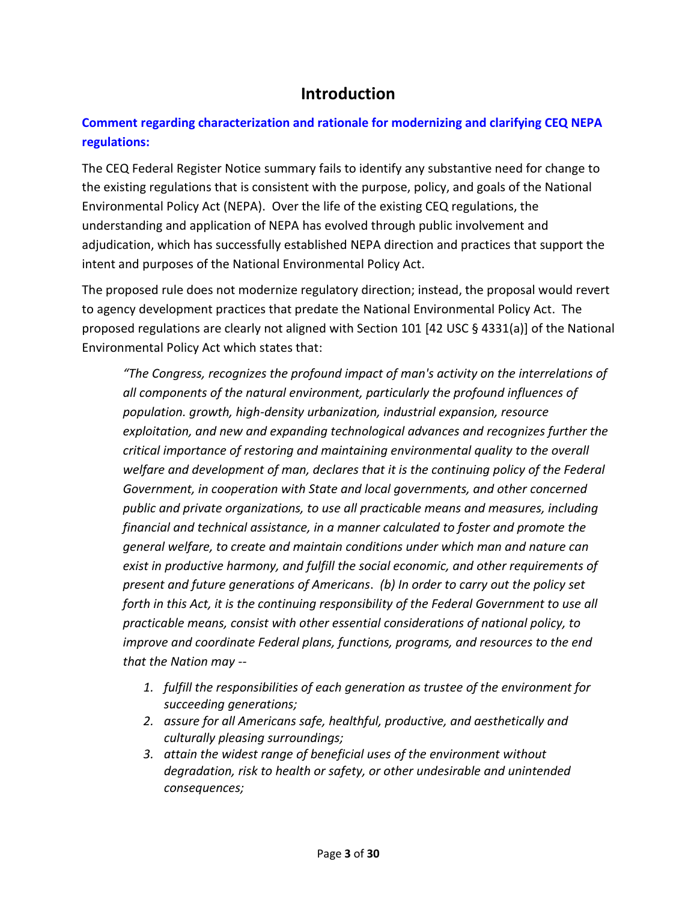# **Introduction**

# <span id="page-2-0"></span>**Comment regarding characterization and rationale for modernizing and clarifying CEQ NEPA regulations:**

The CEQ Federal Register Notice summary fails to identify any substantive need for change to the existing regulations that is consistent with the purpose, policy, and goals of the National Environmental Policy Act (NEPA). Over the life of the existing CEQ regulations, the understanding and application of NEPA has evolved through public involvement and adjudication, which has successfully established NEPA direction and practices that support the intent and purposes of the National Environmental Policy Act.

The proposed rule does not modernize regulatory direction; instead, the proposal would revert to agency development practices that predate the National Environmental Policy Act. The proposed regulations are clearly not aligned with Section 101 [42 USC § 4331(a)] of the National Environmental Policy Act which states that:

*"The Congress, recognizes the profound impact of man's activity on the interrelations of all components of the natural environment, particularly the profound influences of population. growth, high-density urbanization, industrial expansion, resource exploitation, and new and expanding technological advances and recognizes further the critical importance of restoring and maintaining environmental quality to the overall welfare and development of man, declares that it is the continuing policy of the Federal Government, in cooperation with State and local governments, and other concerned public and private organizations, to use all practicable means and measures, including financial and technical assistance, in a manner calculated to foster and promote the general welfare, to create and maintain conditions under which man and nature can exist in productive harmony, and fulfill the social economic, and other requirements of present and future generations of Americans*. *(b) In order to carry out the policy set forth in this Act, it is the continuing responsibility of the Federal Government to use all practicable means, consist with other essential considerations of national policy, to improve and coordinate Federal plans, functions, programs, and resources to the end that the Nation may --*

- *1. fulfill the responsibilities of each generation as trustee of the environment for succeeding generations;*
- *2. assure for all Americans safe, healthful, productive, and aesthetically and culturally pleasing surroundings;*
- *3. attain the widest range of beneficial uses of the environment without degradation, risk to health or safety, or other undesirable and unintended consequences;*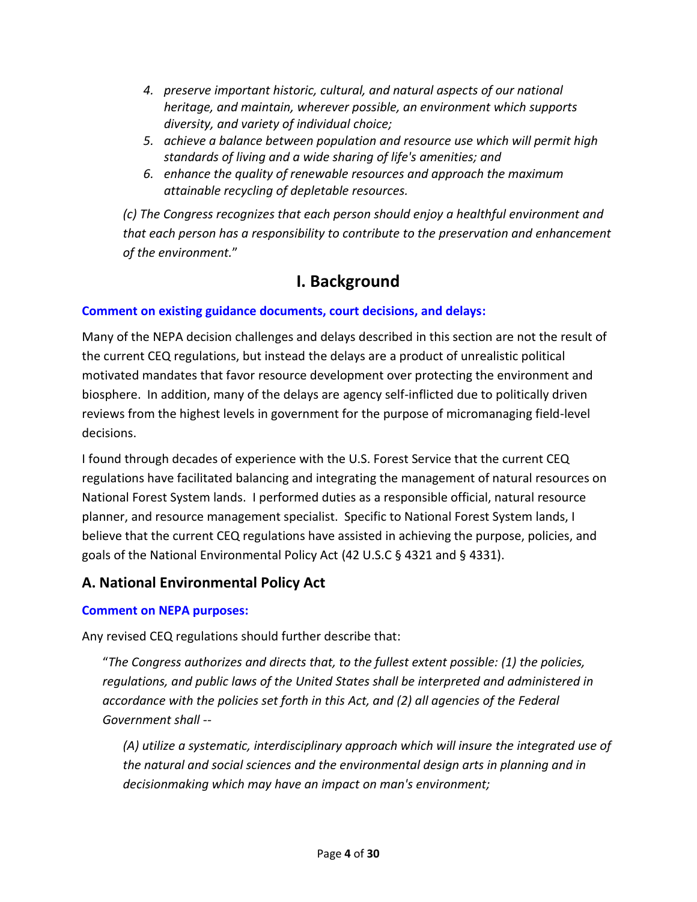- *4. preserve important historic, cultural, and natural aspects of our national heritage, and maintain, wherever possible, an environment which supports diversity, and variety of individual choice;*
- *5. achieve a balance between population and resource use which will permit high standards of living and a wide sharing of life's amenities; and*
- *6. enhance the quality of renewable resources and approach the maximum attainable recycling of depletable resources.*

*(c) The Congress recognizes that each person should enjoy a healthful environment and that each person has a responsibility to contribute to the preservation and enhancement of the environment.*"

# **I. Background**

# <span id="page-3-0"></span>**Comment on existing guidance documents, court decisions, and delays:**

Many of the NEPA decision challenges and delays described in this section are not the result of the current CEQ regulations, but instead the delays are a product of unrealistic political motivated mandates that favor resource development over protecting the environment and biosphere. In addition, many of the delays are agency self-inflicted due to politically driven reviews from the highest levels in government for the purpose of micromanaging field-level decisions.

I found through decades of experience with the U.S. Forest Service that the current CEQ regulations have facilitated balancing and integrating the management of natural resources on National Forest System lands. I performed duties as a responsible official, natural resource planner, and resource management specialist. Specific to National Forest System lands, I believe that the current CEQ regulations have assisted in achieving the purpose, policies, and goals of the National Environmental Policy Act (42 U.S.C § 4321 and § 4331).

# <span id="page-3-1"></span>**A. National Environmental Policy Act**

#### **Comment on NEPA purposes:**

Any revised CEQ regulations should further describe that:

"*The Congress authorizes and directs that, to the fullest extent possible: (1) the policies, regulations, and public laws of the United States shall be interpreted and administered in accordance with the policies set forth in this Act, and (2) all agencies of the Federal Government shall --*

*(A) utilize a systematic, interdisciplinary approach which will insure the integrated use of the natural and social sciences and the environmental design arts in planning and in decisionmaking which may have an impact on man's environment;*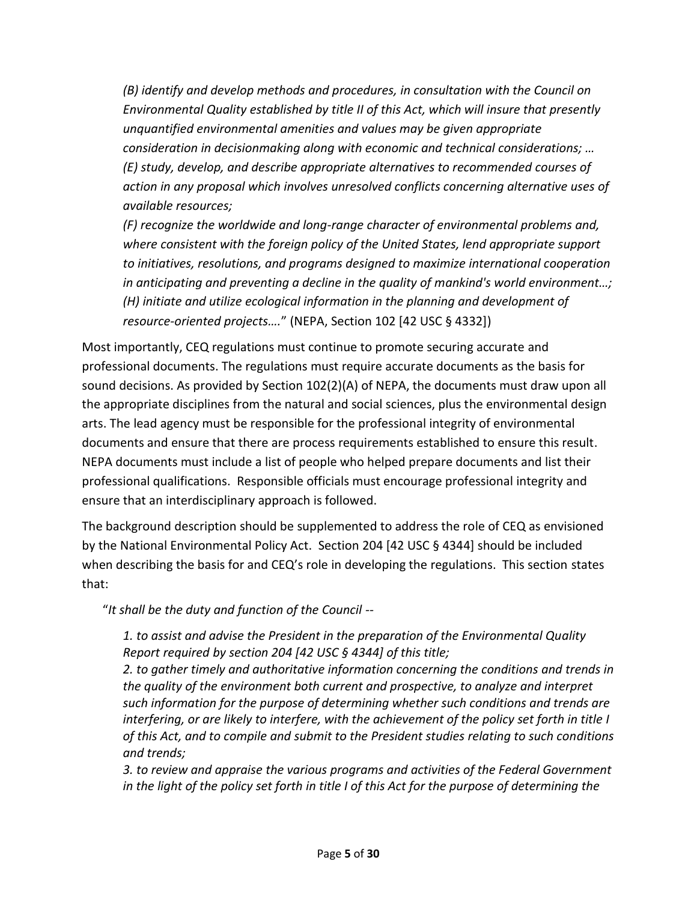*(B) identify and develop methods and procedures, in consultation with the Council on Environmental Quality established by title II of this Act, which will insure that presently unquantified environmental amenities and values may be given appropriate consideration in decisionmaking along with economic and technical considerations; … (E) study, develop, and describe appropriate alternatives to recommended courses of action in any proposal which involves unresolved conflicts concerning alternative uses of available resources;*

*(F) recognize the worldwide and long-range character of environmental problems and, where consistent with the foreign policy of the United States, lend appropriate support to initiatives, resolutions, and programs designed to maximize international cooperation in anticipating and preventing a decline in the quality of mankind's world environment…; (H) initiate and utilize ecological information in the planning and development of resource-oriented projects….*" (NEPA, Section 102 [42 USC § 4332])

Most importantly, CEQ regulations must continue to promote securing accurate and professional documents. The regulations must require accurate documents as the basis for sound decisions. As provided by Section 102(2)(A) of NEPA, the documents must draw upon all the appropriate disciplines from the natural and social sciences, plus the environmental design arts. The lead agency must be responsible for the professional integrity of environmental documents and ensure that there are process requirements established to ensure this result. NEPA documents must include a list of people who helped prepare documents and list their professional qualifications. Responsible officials must encourage professional integrity and ensure that an interdisciplinary approach is followed.

The background description should be supplemented to address the role of CEQ as envisioned by the National Environmental Policy Act. Section 204 [42 USC § 4344] should be included when describing the basis for and CEQ's role in developing the regulations. This section states that:

"*It shall be the duty and function of the Council --*

*1. to assist and advise the President in the preparation of the Environmental Quality Report required by section 204 [42 USC § 4344] of this title;*

*2. to gather timely and authoritative information concerning the conditions and trends in the quality of the environment both current and prospective, to analyze and interpret such information for the purpose of determining whether such conditions and trends are interfering, or are likely to interfere, with the achievement of the policy set forth in title I of this Act, and to compile and submit to the President studies relating to such conditions and trends;*

*3. to review and appraise the various programs and activities of the Federal Government in the light of the policy set forth in title I of this Act for the purpose of determining the*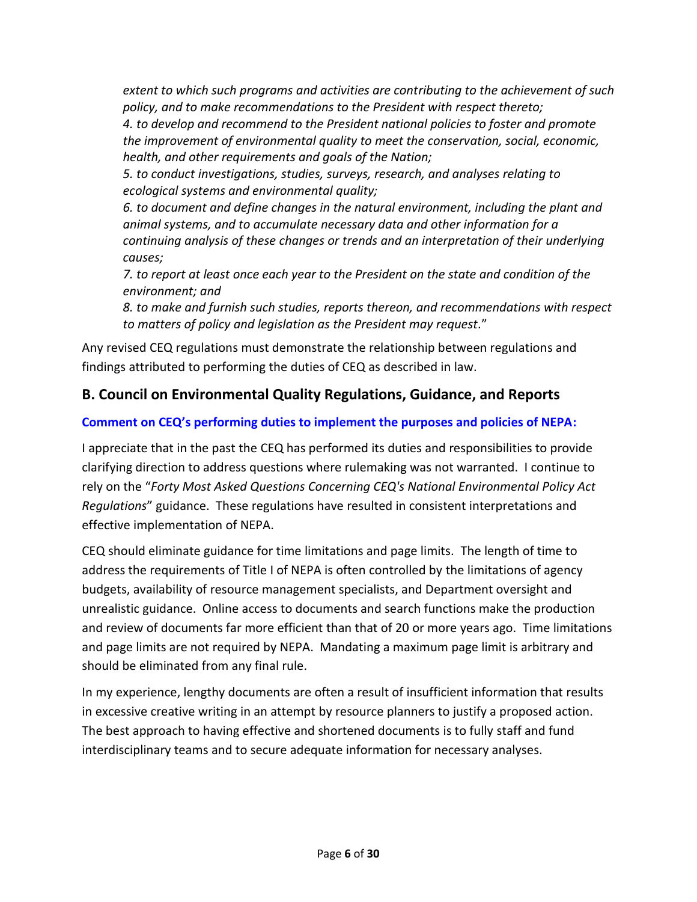*extent to which such programs and activities are contributing to the achievement of such policy, and to make recommendations to the President with respect thereto;*

*4. to develop and recommend to the President national policies to foster and promote the improvement of environmental quality to meet the conservation, social, economic, health, and other requirements and goals of the Nation;*

*5. to conduct investigations, studies, surveys, research, and analyses relating to ecological systems and environmental quality;*

*6. to document and define changes in the natural environment, including the plant and animal systems, and to accumulate necessary data and other information for a continuing analysis of these changes or trends and an interpretation of their underlying causes;*

*7. to report at least once each year to the President on the state and condition of the environment; and*

*8. to make and furnish such studies, reports thereon, and recommendations with respect to matters of policy and legislation as the President may request.*"

Any revised CEQ regulations must demonstrate the relationship between regulations and findings attributed to performing the duties of CEQ as described in law.

# <span id="page-5-0"></span>**B. Council on Environmental Quality Regulations, Guidance, and Reports**

# **Comment on CEQ's performing duties to implement the purposes and policies of NEPA:**

I appreciate that in the past the CEQ has performed its duties and responsibilities to provide clarifying direction to address questions where rulemaking was not warranted. I continue to rely on the "*Forty Most Asked Questions Concerning CEQ's National Environmental Policy Act Regulations*" guidance. These regulations have resulted in consistent interpretations and effective implementation of NEPA.

CEQ should eliminate guidance for time limitations and page limits. The length of time to address the requirements of Title I of NEPA is often controlled by the limitations of agency budgets, availability of resource management specialists, and Department oversight and unrealistic guidance. Online access to documents and search functions make the production and review of documents far more efficient than that of 20 or more years ago. Time limitations and page limits are not required by NEPA. Mandating a maximum page limit is arbitrary and should be eliminated from any final rule.

In my experience, lengthy documents are often a result of insufficient information that results in excessive creative writing in an attempt by resource planners to justify a proposed action. The best approach to having effective and shortened documents is to fully staff and fund interdisciplinary teams and to secure adequate information for necessary analyses.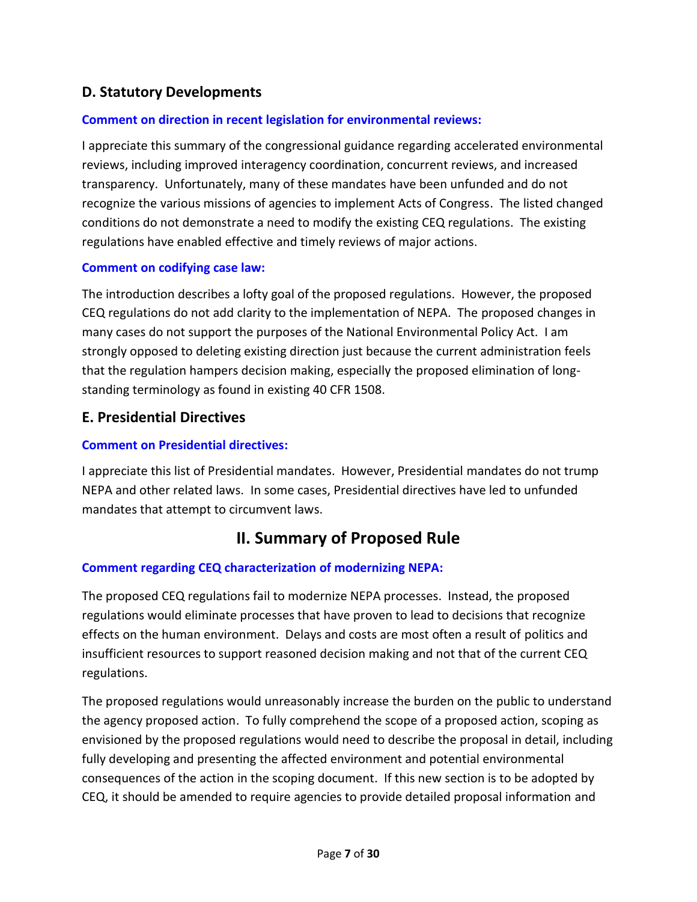# <span id="page-6-0"></span>**D. Statutory Developments**

#### **Comment on direction in recent legislation for environmental reviews:**

I appreciate this summary of the congressional guidance regarding accelerated environmental reviews, including improved interagency coordination, concurrent reviews, and increased transparency. Unfortunately, many of these mandates have been unfunded and do not recognize the various missions of agencies to implement Acts of Congress. The listed changed conditions do not demonstrate a need to modify the existing CEQ regulations. The existing regulations have enabled effective and timely reviews of major actions.

#### **Comment on codifying case law:**

The introduction describes a lofty goal of the proposed regulations. However, the proposed CEQ regulations do not add clarity to the implementation of NEPA. The proposed changes in many cases do not support the purposes of the National Environmental Policy Act. I am strongly opposed to deleting existing direction just because the current administration feels that the regulation hampers decision making, especially the proposed elimination of longstanding terminology as found in existing 40 CFR 1508.

### <span id="page-6-1"></span>**E. Presidential Directives**

#### **Comment on Presidential directives:**

I appreciate this list of Presidential mandates. However, Presidential mandates do not trump NEPA and other related laws. In some cases, Presidential directives have led to unfunded mandates that attempt to circumvent laws.

# **II. Summary of Proposed Rule**

#### <span id="page-6-2"></span>**Comment regarding CEQ characterization of modernizing NEPA:**

The proposed CEQ regulations fail to modernize NEPA processes. Instead, the proposed regulations would eliminate processes that have proven to lead to decisions that recognize effects on the human environment. Delays and costs are most often a result of politics and insufficient resources to support reasoned decision making and not that of the current CEQ regulations.

The proposed regulations would unreasonably increase the burden on the public to understand the agency proposed action. To fully comprehend the scope of a proposed action, scoping as envisioned by the proposed regulations would need to describe the proposal in detail, including fully developing and presenting the affected environment and potential environmental consequences of the action in the scoping document. If this new section is to be adopted by CEQ, it should be amended to require agencies to provide detailed proposal information and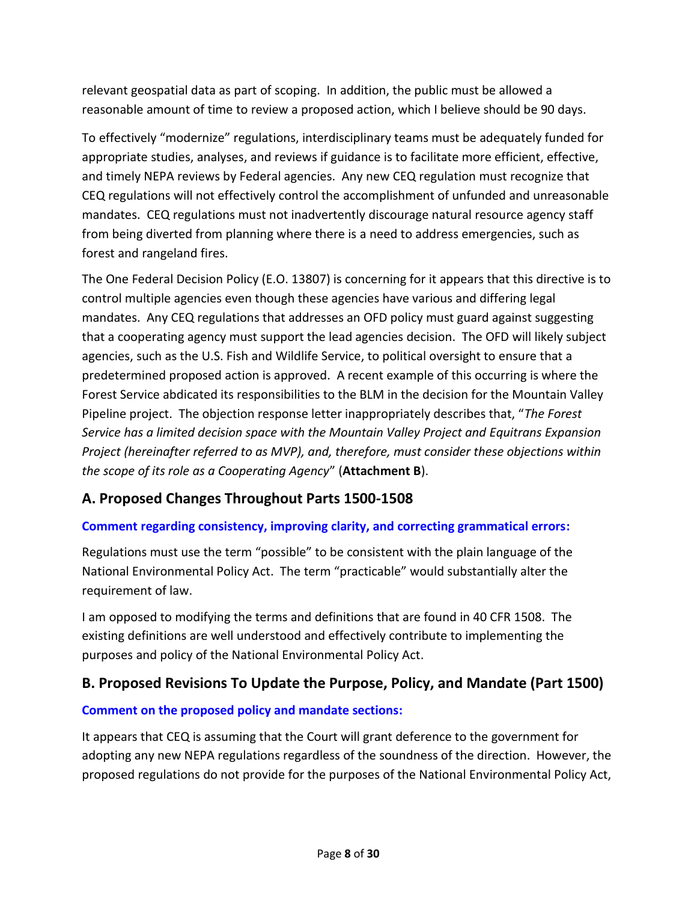relevant geospatial data as part of scoping. In addition, the public must be allowed a reasonable amount of time to review a proposed action, which I believe should be 90 days.

To effectively "modernize" regulations, interdisciplinary teams must be adequately funded for appropriate studies, analyses, and reviews if guidance is to facilitate more efficient, effective, and timely NEPA reviews by Federal agencies. Any new CEQ regulation must recognize that CEQ regulations will not effectively control the accomplishment of unfunded and unreasonable mandates. CEQ regulations must not inadvertently discourage natural resource agency staff from being diverted from planning where there is a need to address emergencies, such as forest and rangeland fires.

The One Federal Decision Policy (E.O. 13807) is concerning for it appears that this directive is to control multiple agencies even though these agencies have various and differing legal mandates. Any CEQ regulations that addresses an OFD policy must guard against suggesting that a cooperating agency must support the lead agencies decision. The OFD will likely subject agencies, such as the U.S. Fish and Wildlife Service, to political oversight to ensure that a predetermined proposed action is approved. A recent example of this occurring is where the Forest Service abdicated its responsibilities to the BLM in the decision for the Mountain Valley Pipeline project. The objection response letter inappropriately describes that, "*The Forest Service has a limited decision space with the Mountain Valley Project and Equitrans Expansion Project (hereinafter referred to as MVP), and, therefore, must consider these objections within the scope of its role as a Cooperating Agency*" (**Attachment B**).

# <span id="page-7-0"></span>**A. Proposed Changes Throughout Parts 1500-1508**

# **Comment regarding consistency, improving clarity, and correcting grammatical errors:**

Regulations must use the term "possible" to be consistent with the plain language of the National Environmental Policy Act. The term "practicable" would substantially alter the requirement of law.

I am opposed to modifying the terms and definitions that are found in 40 CFR 1508. The existing definitions are well understood and effectively contribute to implementing the purposes and policy of the National Environmental Policy Act.

# <span id="page-7-1"></span>**B. Proposed Revisions To Update the Purpose, Policy, and Mandate (Part 1500)**

#### **Comment on the proposed policy and mandate sections:**

It appears that CEQ is assuming that the Court will grant deference to the government for adopting any new NEPA regulations regardless of the soundness of the direction. However, the proposed regulations do not provide for the purposes of the National Environmental Policy Act,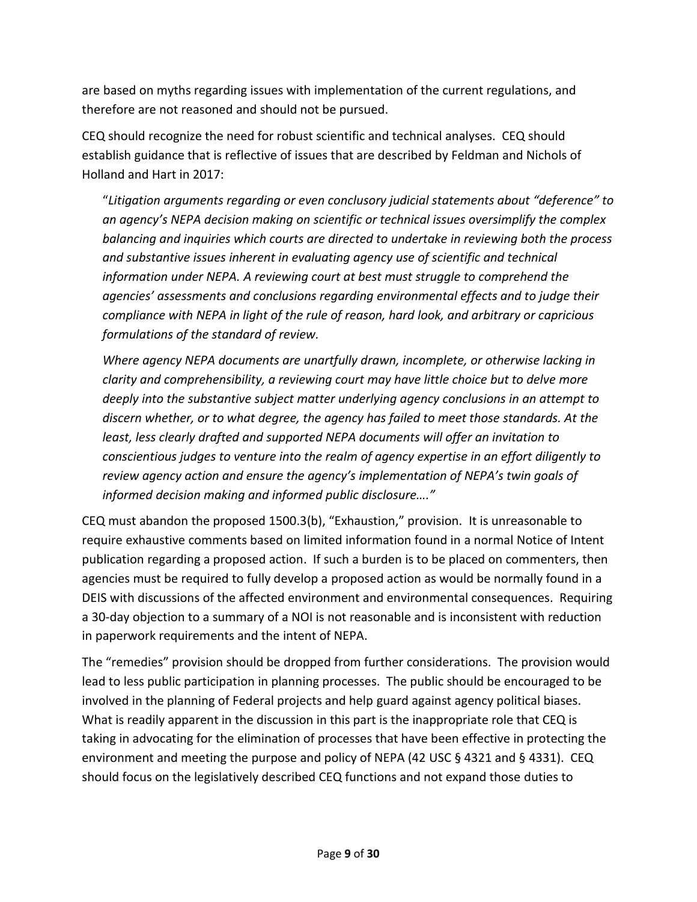are based on myths regarding issues with implementation of the current regulations, and therefore are not reasoned and should not be pursued.

CEQ should recognize the need for robust scientific and technical analyses. CEQ should establish guidance that is reflective of issues that are described by Feldman and Nichols of Holland and Hart in 2017:

"*Litigation arguments regarding or even conclusory judicial statements about "deference" to an agency's NEPA decision making on scientific or technical issues oversimplify the complex balancing and inquiries which courts are directed to undertake in reviewing both the process and substantive issues inherent in evaluating agency use of scientific and technical information under NEPA. A reviewing court at best must struggle to comprehend the agencies' assessments and conclusions regarding environmental effects and to judge their compliance with NEPA in light of the rule of reason, hard look, and arbitrary or capricious formulations of the standard of review.*

*Where agency NEPA documents are unartfully drawn, incomplete, or otherwise lacking in clarity and comprehensibility, a reviewing court may have little choice but to delve more deeply into the substantive subject matter underlying agency conclusions in an attempt to discern whether, or to what degree, the agency has failed to meet those standards. At the least, less clearly drafted and supported NEPA documents will offer an invitation to conscientious judges to venture into the realm of agency expertise in an effort diligently to review agency action and ensure the agency's implementation of NEPA's twin goals of informed decision making and informed public disclosure…."*

CEQ must abandon the proposed 1500.3(b), "Exhaustion," provision. It is unreasonable to require exhaustive comments based on limited information found in a normal Notice of Intent publication regarding a proposed action. If such a burden is to be placed on commenters, then agencies must be required to fully develop a proposed action as would be normally found in a DEIS with discussions of the affected environment and environmental consequences. Requiring a 30-day objection to a summary of a NOI is not reasonable and is inconsistent with reduction in paperwork requirements and the intent of NEPA.

The "remedies" provision should be dropped from further considerations. The provision would lead to less public participation in planning processes. The public should be encouraged to be involved in the planning of Federal projects and help guard against agency political biases. What is readily apparent in the discussion in this part is the inappropriate role that CEQ is taking in advocating for the elimination of processes that have been effective in protecting the environment and meeting the purpose and policy of NEPA (42 USC § 4321 and § 4331). CEQ should focus on the legislatively described CEQ functions and not expand those duties to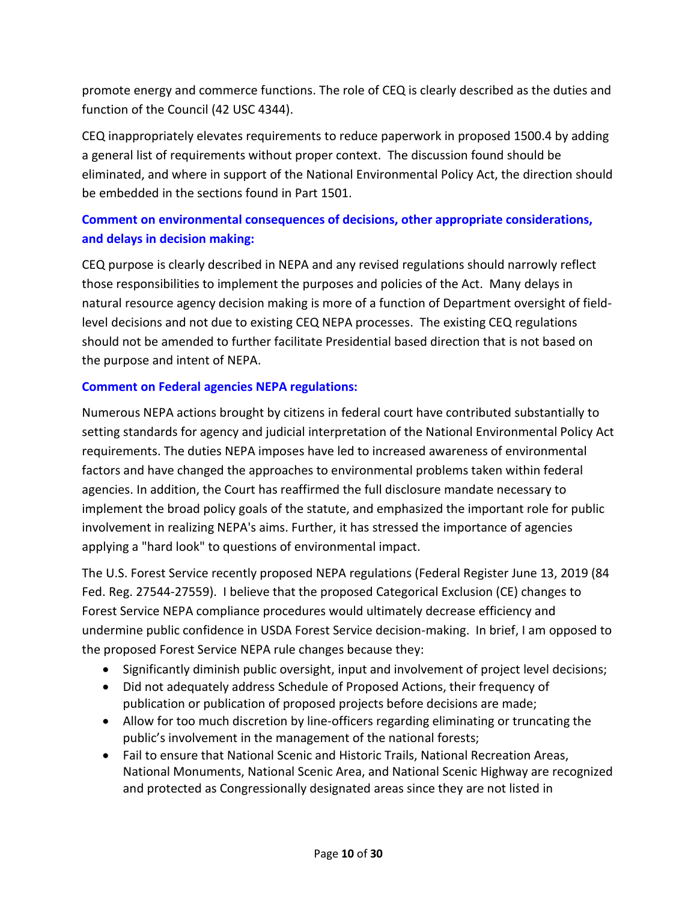promote energy and commerce functions. The role of CEQ is clearly described as the duties and function of the Council (42 USC 4344).

CEQ inappropriately elevates requirements to reduce paperwork in proposed 1500.4 by adding a general list of requirements without proper context. The discussion found should be eliminated, and where in support of the National Environmental Policy Act, the direction should be embedded in the sections found in Part 1501.

# **Comment on environmental consequences of decisions, other appropriate considerations, and delays in decision making:**

CEQ purpose is clearly described in NEPA and any revised regulations should narrowly reflect those responsibilities to implement the purposes and policies of the Act. Many delays in natural resource agency decision making is more of a function of Department oversight of fieldlevel decisions and not due to existing CEQ NEPA processes. The existing CEQ regulations should not be amended to further facilitate Presidential based direction that is not based on the purpose and intent of NEPA.

### **Comment on Federal agencies NEPA regulations:**

Numerous NEPA actions brought by citizens in federal court have contributed substantially to setting standards for agency and judicial interpretation of the National Environmental Policy Act requirements. The duties NEPA imposes have led to increased awareness of environmental factors and have changed the approaches to environmental problems taken within federal agencies. In addition, the Court has reaffirmed the full disclosure mandate necessary to implement the broad policy goals of the statute, and emphasized the important role for public involvement in realizing NEPA's aims. Further, it has stressed the importance of agencies applying a "hard look" to questions of environmental impact.

The U.S. Forest Service recently proposed NEPA regulations (Federal Register June 13, 2019 (84 Fed. Reg. 27544-27559). I believe that the proposed Categorical Exclusion (CE) changes to Forest Service NEPA compliance procedures would ultimately decrease efficiency and undermine public confidence in USDA Forest Service decision-making. In brief, I am opposed to the proposed Forest Service NEPA rule changes because they:

- Significantly diminish public oversight, input and involvement of project level decisions;
- Did not adequately address Schedule of Proposed Actions, their frequency of publication or publication of proposed projects before decisions are made;
- Allow for too much discretion by line-officers regarding eliminating or truncating the public's involvement in the management of the national forests;
- Fail to ensure that National Scenic and Historic Trails, National Recreation Areas, National Monuments, National Scenic Area, and National Scenic Highway are recognized and protected as Congressionally designated areas since they are not listed in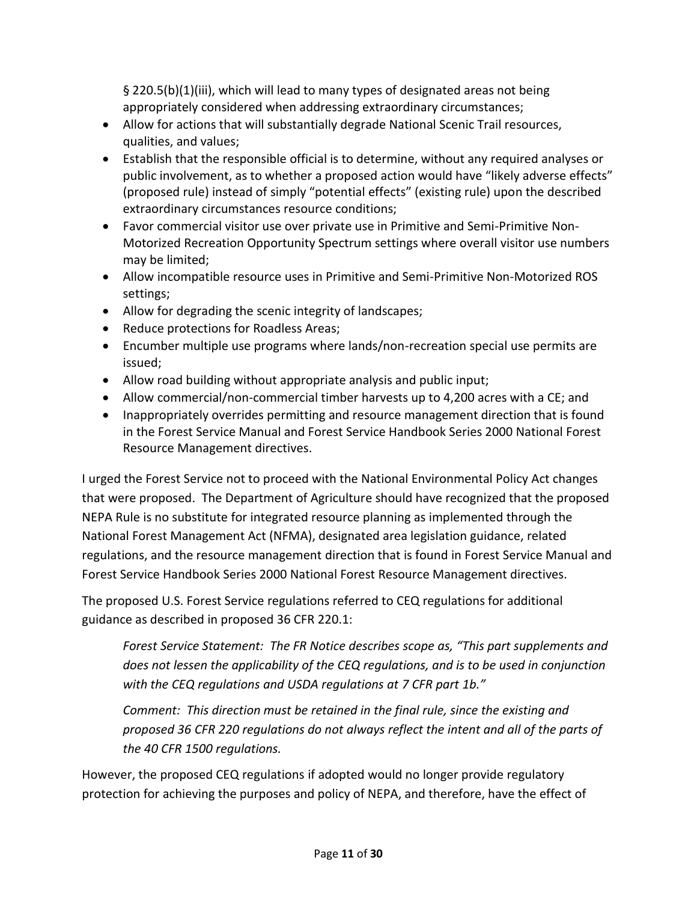§ 220.5(b)(1)(iii), which will lead to many types of designated areas not being appropriately considered when addressing extraordinary circumstances;

- Allow for actions that will substantially degrade National Scenic Trail resources, qualities, and values;
- Establish that the responsible official is to determine, without any required analyses or public involvement, as to whether a proposed action would have "likely adverse effects" (proposed rule) instead of simply "potential effects" (existing rule) upon the described extraordinary circumstances resource conditions;
- Favor commercial visitor use over private use in Primitive and Semi-Primitive Non-Motorized Recreation Opportunity Spectrum settings where overall visitor use numbers may be limited;
- Allow incompatible resource uses in Primitive and Semi-Primitive Non-Motorized ROS settings;
- Allow for degrading the scenic integrity of landscapes;
- Reduce protections for Roadless Areas;
- Encumber multiple use programs where lands/non-recreation special use permits are issued;
- Allow road building without appropriate analysis and public input;
- Allow commercial/non-commercial timber harvests up to 4,200 acres with a CE; and
- Inappropriately overrides permitting and resource management direction that is found in the Forest Service Manual and Forest Service Handbook Series 2000 National Forest Resource Management directives.

I urged the Forest Service not to proceed with the National Environmental Policy Act changes that were proposed. The Department of Agriculture should have recognized that the proposed NEPA Rule is no substitute for integrated resource planning as implemented through the National Forest Management Act (NFMA), designated area legislation guidance, related regulations, and the resource management direction that is found in Forest Service Manual and Forest Service Handbook Series 2000 National Forest Resource Management directives.

The proposed U.S. Forest Service regulations referred to CEQ regulations for additional guidance as described in proposed 36 CFR 220.1:

*Forest Service Statement: The FR Notice describes scope as, "This part supplements and does not lessen the applicability of the CEQ regulations, and is to be used in conjunction*  with the CEQ regulations and USDA regulations at 7 CFR part 1b."

*Comment: This direction must be retained in the final rule, since the existing and proposed 36 CFR 220 regulations do not always reflect the intent and all of the parts of the 40 CFR 1500 regulations.*

However, the proposed CEQ regulations if adopted would no longer provide regulatory protection for achieving the purposes and policy of NEPA, and therefore, have the effect of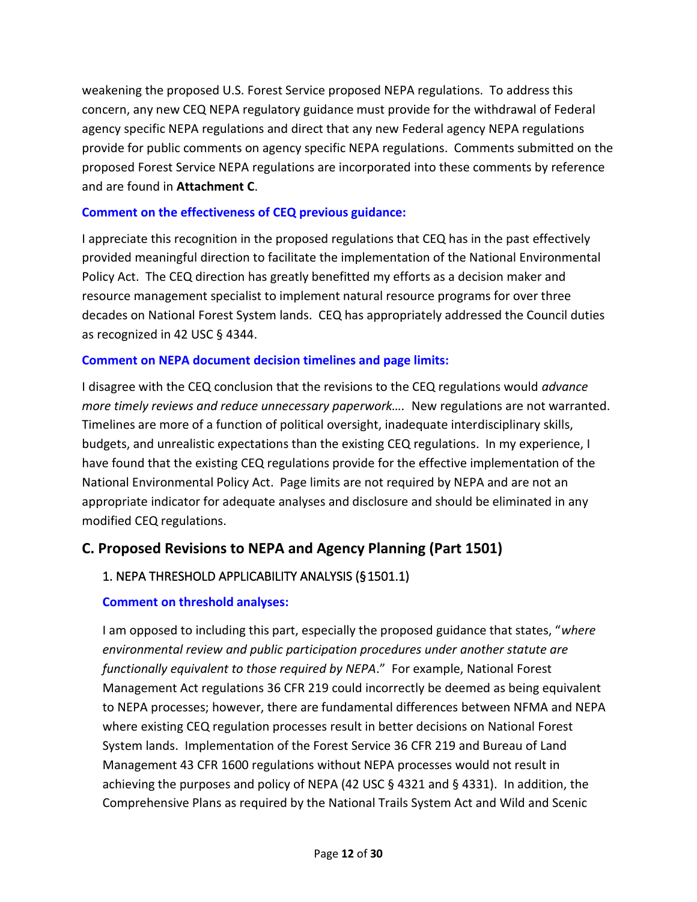weakening the proposed U.S. Forest Service proposed NEPA regulations. To address this concern, any new CEQ NEPA regulatory guidance must provide for the withdrawal of Federal agency specific NEPA regulations and direct that any new Federal agency NEPA regulations provide for public comments on agency specific NEPA regulations. Comments submitted on the proposed Forest Service NEPA regulations are incorporated into these comments by reference and are found in **Attachment C**.

#### **Comment on the effectiveness of CEQ previous guidance:**

I appreciate this recognition in the proposed regulations that CEQ has in the past effectively provided meaningful direction to facilitate the implementation of the National Environmental Policy Act. The CEQ direction has greatly benefitted my efforts as a decision maker and resource management specialist to implement natural resource programs for over three decades on National Forest System lands. CEQ has appropriately addressed the Council duties as recognized in 42 USC § 4344.

#### **Comment on NEPA document decision timelines and page limits:**

I disagree with the CEQ conclusion that the revisions to the CEQ regulations would *advance more timely reviews and reduce unnecessary paperwork....* New regulations are not warranted. Timelines are more of a function of political oversight, inadequate interdisciplinary skills, budgets, and unrealistic expectations than the existing CEQ regulations. In my experience, I have found that the existing CEQ regulations provide for the effective implementation of the National Environmental Policy Act. Page limits are not required by NEPA and are not an appropriate indicator for adequate analyses and disclosure and should be eliminated in any modified CEQ regulations.

# <span id="page-11-0"></span>**C. Proposed Revisions to NEPA and Agency Planning (Part 1501)**

# <span id="page-11-1"></span>1. NEPA THRESHOLD APPLICABILITY ANALYSIS (§ 1501.1)

#### **Comment on threshold analyses:**

I am opposed to including this part, especially the proposed guidance that states, "*where environmental review and public participation procedures under another statute are functionally equivalent to those required by NEPA*." For example, National Forest Management Act regulations 36 CFR 219 could incorrectly be deemed as being equivalent to NEPA processes; however, there are fundamental differences between NFMA and NEPA where existing CEQ regulation processes result in better decisions on National Forest System lands. Implementation of the Forest Service 36 CFR 219 and Bureau of Land Management 43 CFR 1600 regulations without NEPA processes would not result in achieving the purposes and policy of NEPA (42 USC  $\S$  4321 and  $\S$  4331). In addition, the Comprehensive Plans as required by the National Trails System Act and Wild and Scenic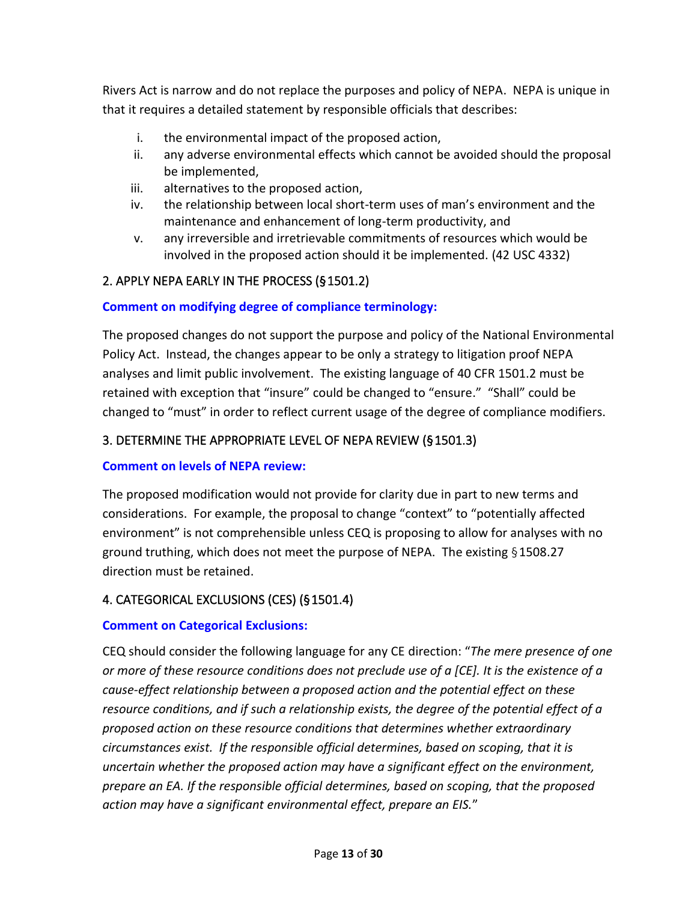Rivers Act is narrow and do not replace the purposes and policy of NEPA. NEPA is unique in that it requires a detailed statement by responsible officials that describes:

- i. the environmental impact of the proposed action,
- ii. any adverse environmental effects which cannot be avoided should the proposal be implemented,
- iii. alternatives to the proposed action,
- iv. the relationship between local short-term uses of man's environment and the maintenance and enhancement of long-term productivity, and
- v. any irreversible and irretrievable commitments of resources which would be involved in the proposed action should it be implemented. (42 USC 4332)

### <span id="page-12-0"></span>2. APPLY NEPA EARLY IN THE PROCESS (§ 1501.2)

#### **Comment on modifying degree of compliance terminology:**

The proposed changes do not support the purpose and policy of the National Environmental Policy Act. Instead, the changes appear to be only a strategy to litigation proof NEPA analyses and limit public involvement. The existing language of 40 CFR 1501.2 must be retained with exception that "insure" could be changed to "ensure." "Shall" could be changed to "must" in order to reflect current usage of the degree of compliance modifiers.

#### <span id="page-12-1"></span>3. DETERMINE THE APPROPRIATE LEVEL OF NEPA REVIEW (§ 1501.3)

#### **Comment on levels of NEPA review:**

The proposed modification would not provide for clarity due in part to new terms and considerations. For example, the proposal to change "context" to "potentially affected environment" is not comprehensible unless CEQ is proposing to allow for analyses with no ground truthing, which does not meet the purpose of NEPA. The existing § 1508.27 direction must be retained.

#### <span id="page-12-2"></span>4. CATEGORICAL EXCLUSIONS (CES) (§ 1501.4)

#### **Comment on Categorical Exclusions:**

CEQ should consider the following language for any CE direction: "*The mere presence of one or more of these resource conditions does not preclude use of a [CE]. It is the existence of a cause-effect relationship between a proposed action and the potential effect on these resource conditions, and if such a relationship exists, the degree of the potential effect of a proposed action on these resource conditions that determines whether extraordinary circumstances exist. If the responsible official determines, based on scoping, that it is uncertain whether the proposed action may have a significant effect on the environment, prepare an EA. If the responsible official determines, based on scoping, that the proposed action may have a significant environmental effect, prepare an EIS.*"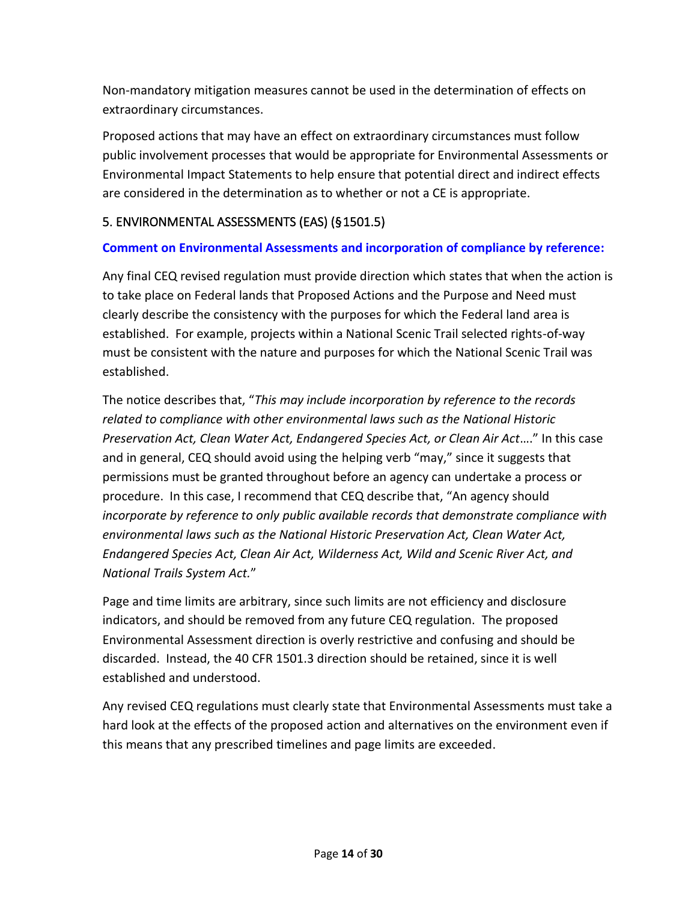Non-mandatory mitigation measures cannot be used in the determination of effects on extraordinary circumstances.

Proposed actions that may have an effect on extraordinary circumstances must follow public involvement processes that would be appropriate for Environmental Assessments or Environmental Impact Statements to help ensure that potential direct and indirect effects are considered in the determination as to whether or not a CE is appropriate.

### <span id="page-13-0"></span>5. ENVIRONMENTAL ASSESSMENTS (EAS) (§ 1501.5)

#### **Comment on Environmental Assessments and incorporation of compliance by reference:**

Any final CEQ revised regulation must provide direction which states that when the action is to take place on Federal lands that Proposed Actions and the Purpose and Need must clearly describe the consistency with the purposes for which the Federal land area is established. For example, projects within a National Scenic Trail selected rights-of-way must be consistent with the nature and purposes for which the National Scenic Trail was established.

The notice describes that, "*This may include incorporation by reference to the records related to compliance with other environmental laws such as the National Historic Preservation Act, Clean Water Act, Endangered Species Act, or Clean Air Act*…." In this case and in general, CEQ should avoid using the helping verb "may," since it suggests that permissions must be granted throughout before an agency can undertake a process or procedure. In this case, I recommend that CEQ describe that, "An agency should *incorporate by reference to only public available records that demonstrate compliance with environmental laws such as the National Historic Preservation Act, Clean Water Act, Endangered Species Act, Clean Air Act, Wilderness Act, Wild and Scenic River Act, and National Trails System Act.*"

Page and time limits are arbitrary, since such limits are not efficiency and disclosure indicators, and should be removed from any future CEQ regulation. The proposed Environmental Assessment direction is overly restrictive and confusing and should be discarded. Instead, the 40 CFR 1501.3 direction should be retained, since it is well established and understood.

Any revised CEQ regulations must clearly state that Environmental Assessments must take a hard look at the effects of the proposed action and alternatives on the environment even if this means that any prescribed timelines and page limits are exceeded.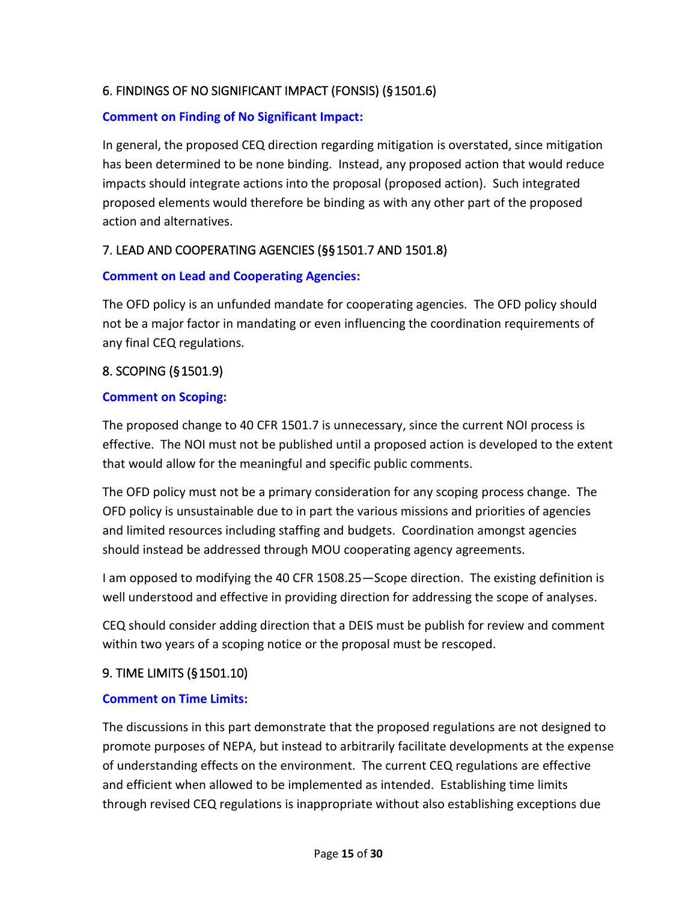# <span id="page-14-0"></span>6. FINDINGS OF NO SIGNIFICANT IMPACT (FONSIS) (§ 1501.6)

#### **Comment on Finding of No Significant Impact:**

In general, the proposed CEQ direction regarding mitigation is overstated, since mitigation has been determined to be none binding. Instead, any proposed action that would reduce impacts should integrate actions into the proposal (proposed action). Such integrated proposed elements would therefore be binding as with any other part of the proposed action and alternatives.

# <span id="page-14-1"></span>7. LEAD AND COOPERATING AGENCIES (§§ 1501.7 AND 1501.8)

#### **Comment on Lead and Cooperating Agencies:**

The OFD policy is an unfunded mandate for cooperating agencies. The OFD policy should not be a major factor in mandating or even influencing the coordination requirements of any final CEQ regulations.

### <span id="page-14-2"></span>8. SCOPING (§ 1501.9)

#### **Comment on Scoping:**

The proposed change to 40 CFR 1501.7 is unnecessary, since the current NOI process is effective. The NOI must not be published until a proposed action is developed to the extent that would allow for the meaningful and specific public comments.

The OFD policy must not be a primary consideration for any scoping process change. The OFD policy is unsustainable due to in part the various missions and priorities of agencies and limited resources including staffing and budgets. Coordination amongst agencies should instead be addressed through MOU cooperating agency agreements.

I am opposed to modifying the 40 CFR 1508.25—Scope direction. The existing definition is well understood and effective in providing direction for addressing the scope of analyses.

CEQ should consider adding direction that a DEIS must be publish for review and comment within two years of a scoping notice or the proposal must be rescoped.

#### <span id="page-14-3"></span>9. TIME LIMITS (§ 1501.10)

#### **Comment on Time Limits:**

The discussions in this part demonstrate that the proposed regulations are not designed to promote purposes of NEPA, but instead to arbitrarily facilitate developments at the expense of understanding effects on the environment. The current CEQ regulations are effective and efficient when allowed to be implemented as intended. Establishing time limits through revised CEQ regulations is inappropriate without also establishing exceptions due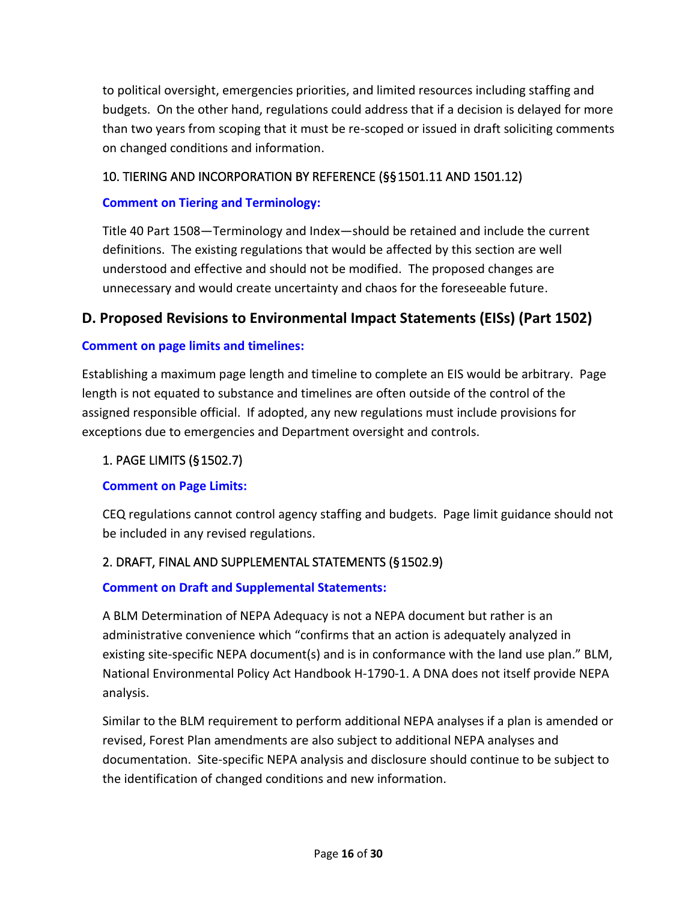to political oversight, emergencies priorities, and limited resources including staffing and budgets. On the other hand, regulations could address that if a decision is delayed for more than two years from scoping that it must be re-scoped or issued in draft soliciting comments on changed conditions and information.

### <span id="page-15-0"></span>10. TIERING AND INCORPORATION BY REFERENCE (§§ 1501.11 AND 1501.12)

#### **Comment on Tiering and Terminology:**

Title 40 Part 1508—Terminology and Index—should be retained and include the current definitions. The existing regulations that would be affected by this section are well understood and effective and should not be modified. The proposed changes are unnecessary and would create uncertainty and chaos for the foreseeable future.

### <span id="page-15-1"></span>**D. Proposed Revisions to Environmental Impact Statements (EISs) (Part 1502)**

#### **Comment on page limits and timelines:**

Establishing a maximum page length and timeline to complete an EIS would be arbitrary. Page length is not equated to substance and timelines are often outside of the control of the assigned responsible official. If adopted, any new regulations must include provisions for exceptions due to emergencies and Department oversight and controls.

#### <span id="page-15-2"></span>1. PAGE LIMITS (§ 1502.7)

#### **Comment on Page Limits:**

CEQ regulations cannot control agency staffing and budgets. Page limit guidance should not be included in any revised regulations.

### <span id="page-15-3"></span>2. DRAFT, FINAL AND SUPPLEMENTAL STATEMENTS (§ 1502.9)

#### **Comment on Draft and Supplemental Statements:**

A BLM Determination of NEPA Adequacy is not a NEPA document but rather is an administrative convenience which "confirms that an action is adequately analyzed in existing site-specific NEPA document(s) and is in conformance with the land use plan." BLM, National Environmental Policy Act Handbook H-1790-1. A DNA does not itself provide NEPA analysis.

Similar to the BLM requirement to perform additional NEPA analyses if a plan is amended or revised, Forest Plan amendments are also subject to additional NEPA analyses and documentation. Site-specific NEPA analysis and disclosure should continue to be subject to the identification of changed conditions and new information.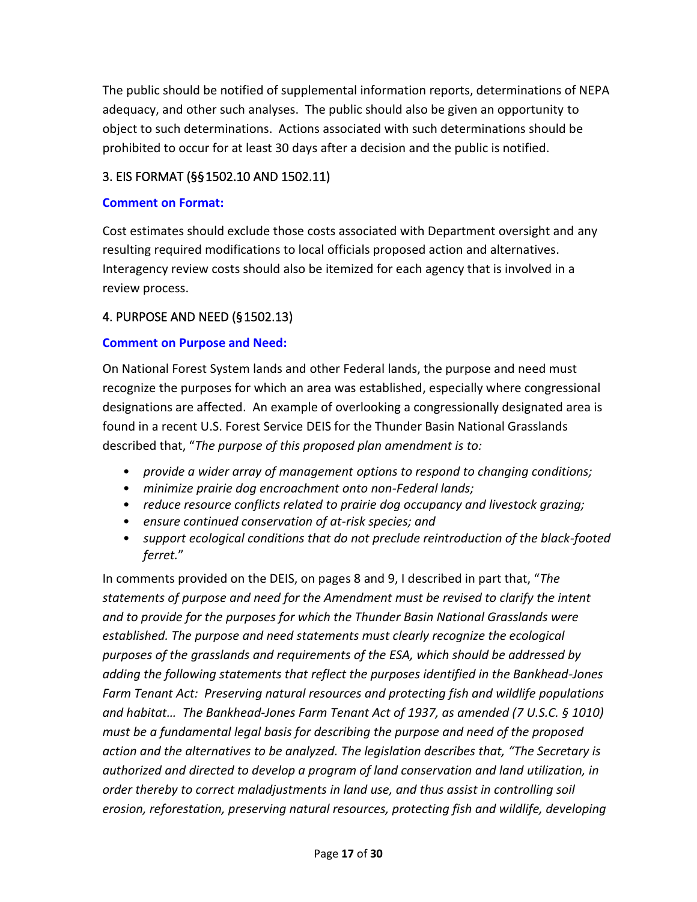The public should be notified of supplemental information reports, determinations of NEPA adequacy, and other such analyses. The public should also be given an opportunity to object to such determinations. Actions associated with such determinations should be prohibited to occur for at least 30 days after a decision and the public is notified.

### <span id="page-16-0"></span>3. EIS FORMAT (§§ 1502.10 AND 1502.11)

#### **Comment on Format:**

Cost estimates should exclude those costs associated with Department oversight and any resulting required modifications to local officials proposed action and alternatives. Interagency review costs should also be itemized for each agency that is involved in a review process.

# <span id="page-16-1"></span>4. PURPOSE AND NEED (§ 1502.13)

#### **Comment on Purpose and Need:**

On National Forest System lands and other Federal lands, the purpose and need must recognize the purposes for which an area was established, especially where congressional designations are affected. An example of overlooking a congressionally designated area is found in a recent U.S. Forest Service DEIS for the Thunder Basin National Grasslands described that, "*The purpose of this proposed plan amendment is to:*

- *provide a wider array of management options to respond to changing conditions;*
- *minimize prairie dog encroachment onto non-Federal lands;*
- *reduce resource conflicts related to prairie dog occupancy and livestock grazing;*
- *ensure continued conservation of at-risk species; and*
- *support ecological conditions that do not preclude reintroduction of the black-footed ferret.*"

In comments provided on the DEIS, on pages 8 and 9, I described in part that, "*The statements of purpose and need for the Amendment must be revised to clarify the intent and to provide for the purposes for which the Thunder Basin National Grasslands were established. The purpose and need statements must clearly recognize the ecological purposes of the grasslands and requirements of the ESA, which should be addressed by adding the following statements that reflect the purposes identified in the Bankhead-Jones Farm Tenant Act: Preserving natural resources and protecting fish and wildlife populations and habitat… The Bankhead-Jones Farm Tenant Act of 1937, as amended (7 U.S.C. § 1010) must be a fundamental legal basis for describing the purpose and need of the proposed action and the alternatives to be analyzed. The legislation describes that, "The Secretary is authorized and directed to develop a program of land conservation and land utilization, in order thereby to correct maladjustments in land use, and thus assist in controlling soil erosion, reforestation, preserving natural resources, protecting fish and wildlife, developing*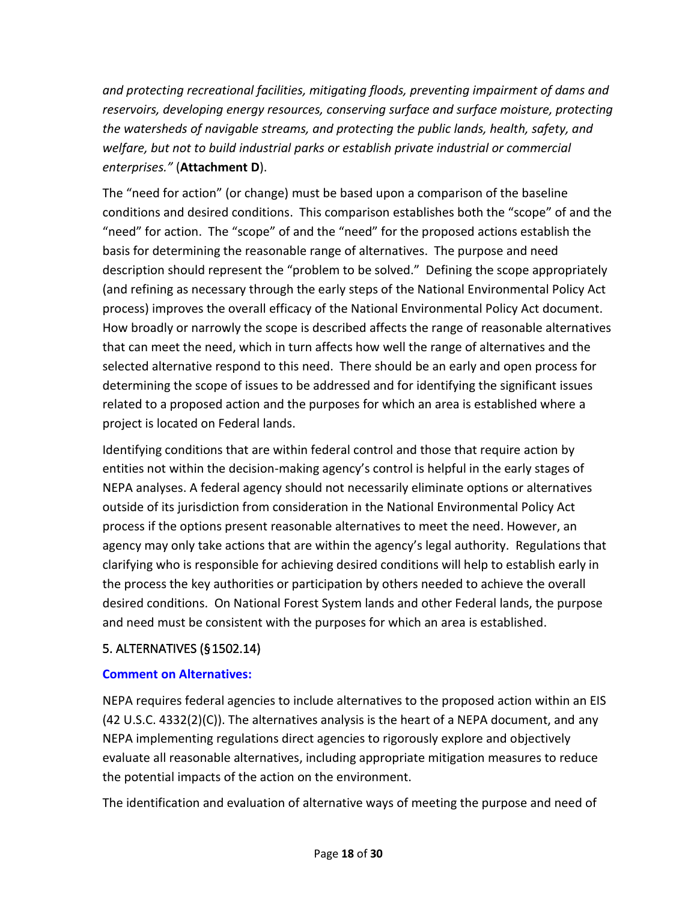*and protecting recreational facilities, mitigating floods, preventing impairment of dams and reservoirs, developing energy resources, conserving surface and surface moisture, protecting the watersheds of navigable streams, and protecting the public lands, health, safety, and welfare, but not to build industrial parks or establish private industrial or commercial enterprises."* (**Attachment D**).

The "need for action" (or change) must be based upon a comparison of the baseline conditions and desired conditions. This comparison establishes both the "scope" of and the "need" for action. The "scope" of and the "need" for the proposed actions establish the basis for determining the reasonable range of alternatives. The purpose and need description should represent the "problem to be solved." Defining the scope appropriately (and refining as necessary through the early steps of the National Environmental Policy Act process) improves the overall efficacy of the National Environmental Policy Act document. How broadly or narrowly the scope is described affects the range of reasonable alternatives that can meet the need, which in turn affects how well the range of alternatives and the selected alternative respond to this need. There should be an early and open process for determining the scope of issues to be addressed and for identifying the significant issues related to a proposed action and the purposes for which an area is established where a project is located on Federal lands.

Identifying conditions that are within federal control and those that require action by entities not within the decision-making agency's control is helpful in the early stages of NEPA analyses. A federal agency should not necessarily eliminate options or alternatives outside of its jurisdiction from consideration in the National Environmental Policy Act process if the options present reasonable alternatives to meet the need. However, an agency may only take actions that are within the agency's legal authority. Regulations that clarifying who is responsible for achieving desired conditions will help to establish early in the process the key authorities or participation by others needed to achieve the overall desired conditions. On National Forest System lands and other Federal lands, the purpose and need must be consistent with the purposes for which an area is established.

# <span id="page-17-0"></span>5. ALTERNATIVES (§ 1502.14)

#### **Comment on Alternatives:**

NEPA requires federal agencies to include alternatives to the proposed action within an EIS (42 U.S.C. 4332(2)(C)). The alternatives analysis is the heart of a NEPA document, and any NEPA implementing regulations direct agencies to rigorously explore and objectively evaluate all reasonable alternatives, including appropriate mitigation measures to reduce the potential impacts of the action on the environment.

The identification and evaluation of alternative ways of meeting the purpose and need of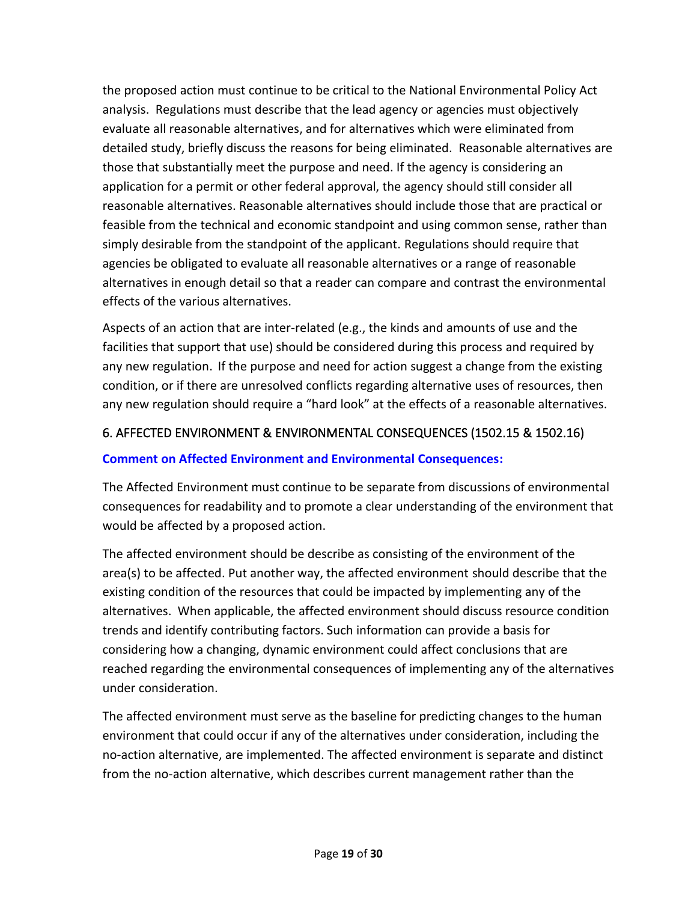the proposed action must continue to be critical to the National Environmental Policy Act analysis. Regulations must describe that the lead agency or agencies must objectively evaluate all reasonable alternatives, and for alternatives which were eliminated from detailed study, briefly discuss the reasons for being eliminated. Reasonable alternatives are those that substantially meet the purpose and need. If the agency is considering an application for a permit or other federal approval, the agency should still consider all reasonable alternatives. Reasonable alternatives should include those that are practical or feasible from the technical and economic standpoint and using common sense, rather than simply desirable from the standpoint of the applicant. Regulations should require that agencies be obligated to evaluate all reasonable alternatives or a range of reasonable alternatives in enough detail so that a reader can compare and contrast the environmental effects of the various alternatives.

Aspects of an action that are inter-related (e.g., the kinds and amounts of use and the facilities that support that use) should be considered during this process and required by any new regulation. If the purpose and need for action suggest a change from the existing condition, or if there are unresolved conflicts regarding alternative uses of resources, then any new regulation should require a "hard look" at the effects of a reasonable alternatives.

### <span id="page-18-0"></span>6. AFFECTED ENVIRONMENT & ENVIRONMENTAL CONSEQUENCES (1502.15 & 1502.16)

#### **Comment on Affected Environment and Environmental Consequences:**

The Affected Environment must continue to be separate from discussions of environmental consequences for readability and to promote a clear understanding of the environment that would be affected by a proposed action.

The affected environment should be describe as consisting of the environment of the area(s) to be affected. Put another way, the affected environment should describe that the existing condition of the resources that could be impacted by implementing any of the alternatives. When applicable, the affected environment should discuss resource condition trends and identify contributing factors. Such information can provide a basis for considering how a changing, dynamic environment could affect conclusions that are reached regarding the environmental consequences of implementing any of the alternatives under consideration.

The affected environment must serve as the baseline for predicting changes to the human environment that could occur if any of the alternatives under consideration, including the no-action alternative, are implemented. The affected environment is separate and distinct from the no-action alternative, which describes current management rather than the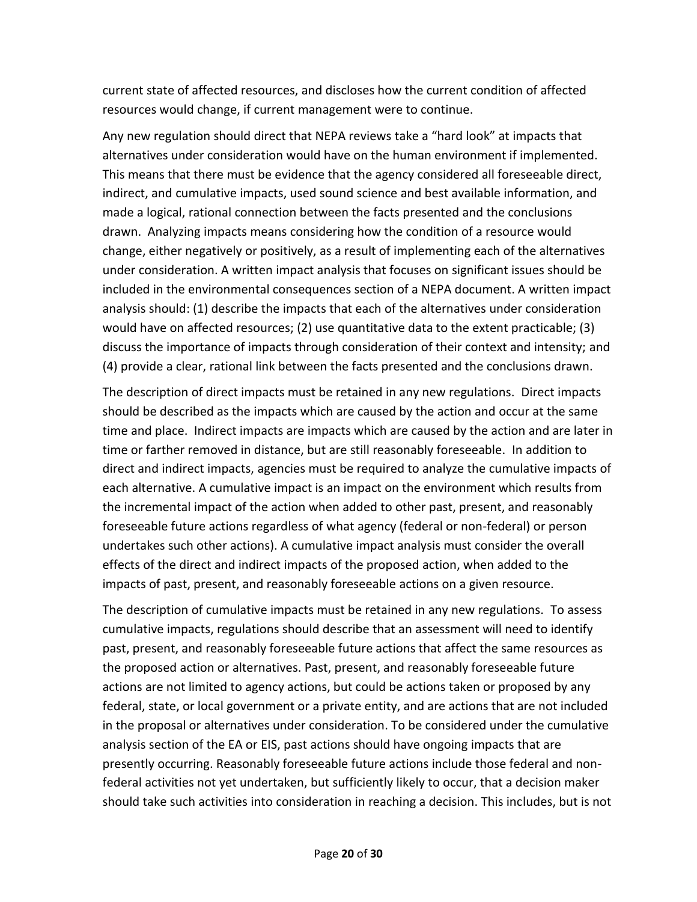current state of affected resources, and discloses how the current condition of affected resources would change, if current management were to continue.

Any new regulation should direct that NEPA reviews take a "hard look" at impacts that alternatives under consideration would have on the human environment if implemented. This means that there must be evidence that the agency considered all foreseeable direct, indirect, and cumulative impacts, used sound science and best available information, and made a logical, rational connection between the facts presented and the conclusions drawn. Analyzing impacts means considering how the condition of a resource would change, either negatively or positively, as a result of implementing each of the alternatives under consideration. A written impact analysis that focuses on significant issues should be included in the environmental consequences section of a NEPA document. A written impact analysis should: (1) describe the impacts that each of the alternatives under consideration would have on affected resources; (2) use quantitative data to the extent practicable; (3) discuss the importance of impacts through consideration of their context and intensity; and (4) provide a clear, rational link between the facts presented and the conclusions drawn.

The description of direct impacts must be retained in any new regulations. Direct impacts should be described as the impacts which are caused by the action and occur at the same time and place. Indirect impacts are impacts which are caused by the action and are later in time or farther removed in distance, but are still reasonably foreseeable. In addition to direct and indirect impacts, agencies must be required to analyze the cumulative impacts of each alternative. A cumulative impact is an impact on the environment which results from the incremental impact of the action when added to other past, present, and reasonably foreseeable future actions regardless of what agency (federal or non-federal) or person undertakes such other actions). A cumulative impact analysis must consider the overall effects of the direct and indirect impacts of the proposed action, when added to the impacts of past, present, and reasonably foreseeable actions on a given resource.

The description of cumulative impacts must be retained in any new regulations. To assess cumulative impacts, regulations should describe that an assessment will need to identify past, present, and reasonably foreseeable future actions that affect the same resources as the proposed action or alternatives. Past, present, and reasonably foreseeable future actions are not limited to agency actions, but could be actions taken or proposed by any federal, state, or local government or a private entity, and are actions that are not included in the proposal or alternatives under consideration. To be considered under the cumulative analysis section of the EA or EIS, past actions should have ongoing impacts that are presently occurring. Reasonably foreseeable future actions include those federal and nonfederal activities not yet undertaken, but sufficiently likely to occur, that a decision maker should take such activities into consideration in reaching a decision. This includes, but is not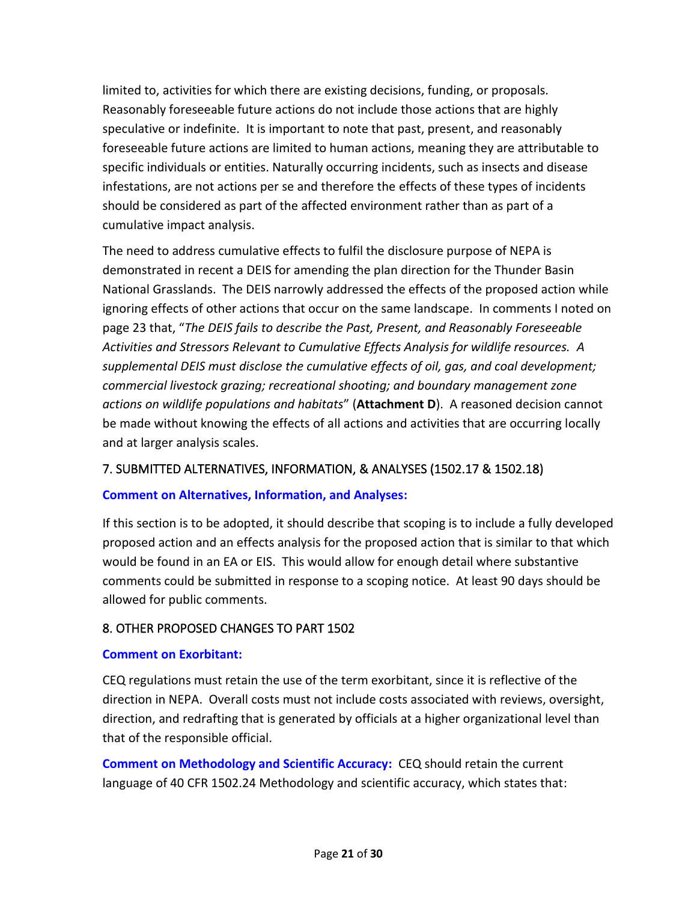limited to, activities for which there are existing decisions, funding, or proposals. Reasonably foreseeable future actions do not include those actions that are highly speculative or indefinite. It is important to note that past, present, and reasonably foreseeable future actions are limited to human actions, meaning they are attributable to specific individuals or entities. Naturally occurring incidents, such as insects and disease infestations, are not actions per se and therefore the effects of these types of incidents should be considered as part of the affected environment rather than as part of a cumulative impact analysis.

The need to address cumulative effects to fulfil the disclosure purpose of NEPA is demonstrated in recent a DEIS for amending the plan direction for the Thunder Basin National Grasslands. The DEIS narrowly addressed the effects of the proposed action while ignoring effects of other actions that occur on the same landscape. In comments I noted on page 23 that, "*The DEIS fails to describe the Past, Present, and Reasonably Foreseeable Activities and Stressors Relevant to Cumulative Effects Analysis for wildlife resources. A supplemental DEIS must disclose the cumulative effects of oil, gas, and coal development; commercial livestock grazing; recreational shooting; and boundary management zone actions on wildlife populations and habitats*" (**Attachment D**). A reasoned decision cannot be made without knowing the effects of all actions and activities that are occurring locally and at larger analysis scales.

#### <span id="page-20-0"></span>7. SUBMITTED ALTERNATIVES, INFORMATION, & ANALYSES (1502.17 & 1502.18)

#### **Comment on Alternatives, Information, and Analyses:**

If this section is to be adopted, it should describe that scoping is to include a fully developed proposed action and an effects analysis for the proposed action that is similar to that which would be found in an EA or EIS. This would allow for enough detail where substantive comments could be submitted in response to a scoping notice. At least 90 days should be allowed for public comments.

#### <span id="page-20-1"></span>8. OTHER PROPOSED CHANGES TO PART 1502

#### **Comment on Exorbitant:**

CEQ regulations must retain the use of the term exorbitant, since it is reflective of the direction in NEPA. Overall costs must not include costs associated with reviews, oversight, direction, and redrafting that is generated by officials at a higher organizational level than that of the responsible official.

**Comment on Methodology and Scientific Accuracy:** CEQ should retain the current language of 40 CFR 1502.24 Methodology and scientific accuracy, which states that: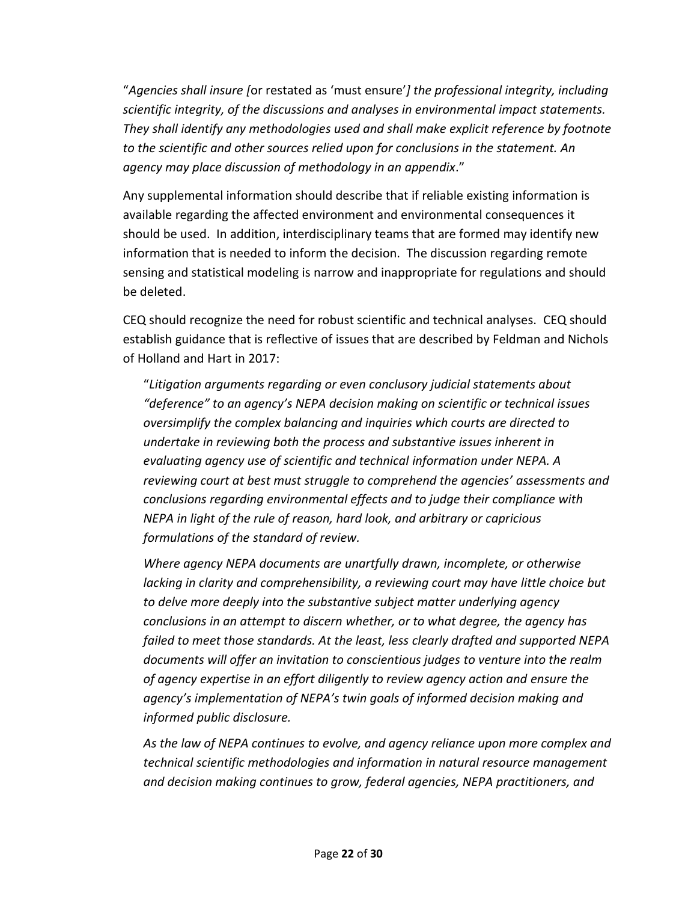"*Agencies shall insure [*or restated as 'must ensure'*] the professional integrity, including scientific integrity, of the discussions and analyses in environmental impact statements. They shall identify any methodologies used and shall make explicit reference by footnote to the scientific and other sources relied upon for conclusions in the statement. An agency may place discussion of methodology in an appendix*."

Any supplemental information should describe that if reliable existing information is available regarding the affected environment and environmental consequences it should be used. In addition, interdisciplinary teams that are formed may identify new information that is needed to inform the decision. The discussion regarding remote sensing and statistical modeling is narrow and inappropriate for regulations and should be deleted.

CEQ should recognize the need for robust scientific and technical analyses. CEQ should establish guidance that is reflective of issues that are described by Feldman and Nichols of Holland and Hart in 2017:

"*Litigation arguments regarding or even conclusory judicial statements about "deference" to an agency's NEPA decision making on scientific or technical issues oversimplify the complex balancing and inquiries which courts are directed to undertake in reviewing both the process and substantive issues inherent in evaluating agency use of scientific and technical information under NEPA. A reviewing court at best must struggle to comprehend the agencies' assessments and conclusions regarding environmental effects and to judge their compliance with NEPA in light of the rule of reason, hard look, and arbitrary or capricious formulations of the standard of review.*

*Where agency NEPA documents are unartfully drawn, incomplete, or otherwise lacking in clarity and comprehensibility, a reviewing court may have little choice but to delve more deeply into the substantive subject matter underlying agency conclusions in an attempt to discern whether, or to what degree, the agency has failed to meet those standards. At the least, less clearly drafted and supported NEPA documents will offer an invitation to conscientious judges to venture into the realm of agency expertise in an effort diligently to review agency action and ensure the agency's implementation of NEPA's twin goals of informed decision making and informed public disclosure.*

*As the law of NEPA continues to evolve, and agency reliance upon more complex and technical scientific methodologies and information in natural resource management and decision making continues to grow, federal agencies, NEPA practitioners, and*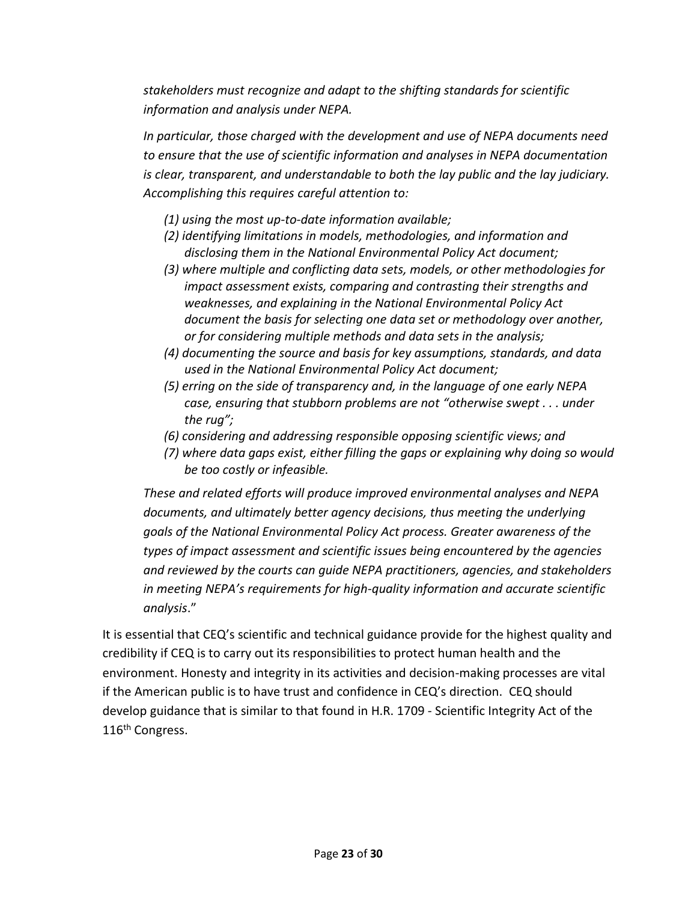*stakeholders must recognize and adapt to the shifting standards for scientific information and analysis under NEPA.*

*In particular, those charged with the development and use of NEPA documents need to ensure that the use of scientific information and analyses in NEPA documentation is clear, transparent, and understandable to both the lay public and the lay judiciary. Accomplishing this requires careful attention to:*

- *(1) using the most up-to-date information available;*
- *(2) identifying limitations in models, methodologies, and information and disclosing them in the National Environmental Policy Act document;*
- *(3) where multiple and conflicting data sets, models, or other methodologies for impact assessment exists, comparing and contrasting their strengths and weaknesses, and explaining in the National Environmental Policy Act document the basis for selecting one data set or methodology over another, or for considering multiple methods and data sets in the analysis;*
- *(4) documenting the source and basis for key assumptions, standards, and data used in the National Environmental Policy Act document;*
- *(5) erring on the side of transparency and, in the language of one early NEPA case, ensuring that stubborn problems are not "otherwise swept . . . under the rug";*
- *(6) considering and addressing responsible opposing scientific views; and*
- *(7) where data gaps exist, either filling the gaps or explaining why doing so would be too costly or infeasible.*

*These and related efforts will produce improved environmental analyses and NEPA documents, and ultimately better agency decisions, thus meeting the underlying goals of the National Environmental Policy Act process. Greater awareness of the types of impact assessment and scientific issues being encountered by the agencies and reviewed by the courts can guide NEPA practitioners, agencies, and stakeholders in meeting NEPA's requirements for high-quality information and accurate scientific analysis*."

It is essential that CEQ's scientific and technical guidance provide for the highest quality and credibility if CEQ is to carry out its responsibilities to protect human health and the environment. Honesty and integrity in its activities and decision-making processes are vital if the American public is to have trust and confidence in CEQ's direction. CEQ should develop guidance that is similar to that found in H.R. 1709 - Scientific Integrity Act of the 116<sup>th</sup> Congress.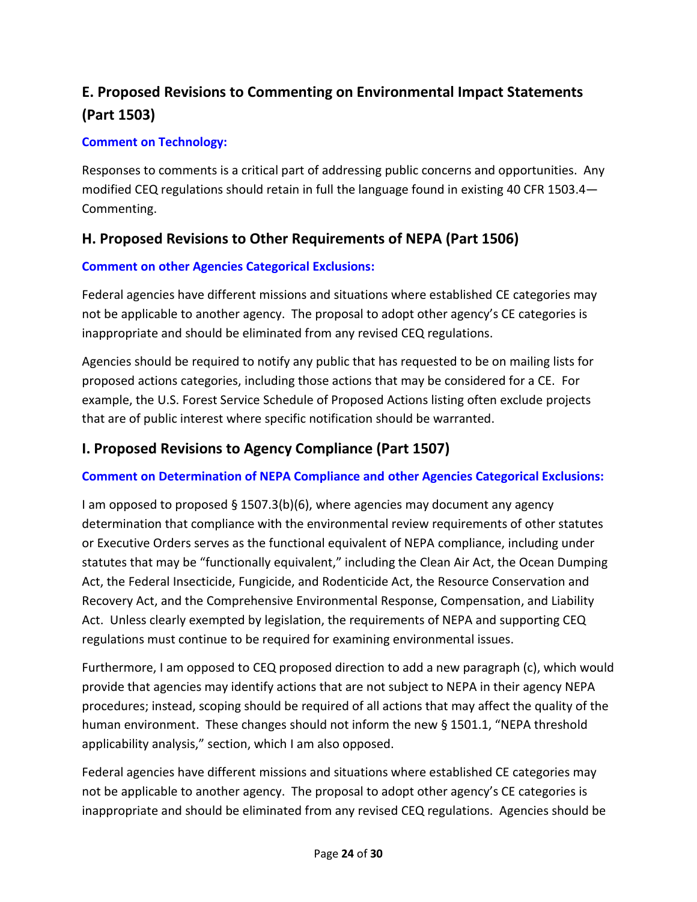# <span id="page-23-0"></span>**E. Proposed Revisions to Commenting on Environmental Impact Statements (Part 1503)**

#### **Comment on Technology:**

Responses to comments is a critical part of addressing public concerns and opportunities. Any modified CEQ regulations should retain in full the language found in existing 40 CFR 1503.4— Commenting.

# <span id="page-23-1"></span>**H. Proposed Revisions to Other Requirements of NEPA (Part 1506)**

#### **Comment on other Agencies Categorical Exclusions:**

Federal agencies have different missions and situations where established CE categories may not be applicable to another agency. The proposal to adopt other agency's CE categories is inappropriate and should be eliminated from any revised CEQ regulations.

Agencies should be required to notify any public that has requested to be on mailing lists for proposed actions categories, including those actions that may be considered for a CE. For example, the U.S. Forest Service Schedule of Proposed Actions listing often exclude projects that are of public interest where specific notification should be warranted.

## <span id="page-23-2"></span>**I. Proposed Revisions to Agency Compliance (Part 1507)**

#### **Comment on Determination of NEPA Compliance and other Agencies Categorical Exclusions:**

I am opposed to proposed § 1507.3(b)(6), where agencies may document any agency determination that compliance with the environmental review requirements of other statutes or Executive Orders serves as the functional equivalent of NEPA compliance, including under statutes that may be "functionally equivalent," including the Clean Air Act, the Ocean Dumping Act, the Federal Insecticide, Fungicide, and Rodenticide Act, the Resource Conservation and Recovery Act, and the Comprehensive Environmental Response, Compensation, and Liability Act. Unless clearly exempted by legislation, the requirements of NEPA and supporting CEQ regulations must continue to be required for examining environmental issues.

Furthermore, I am opposed to CEQ proposed direction to add a new paragraph (c), which would provide that agencies may identify actions that are not subject to NEPA in their agency NEPA procedures; instead, scoping should be required of all actions that may affect the quality of the human environment. These changes should not inform the new § 1501.1, "NEPA threshold applicability analysis," section, which I am also opposed.

Federal agencies have different missions and situations where established CE categories may not be applicable to another agency. The proposal to adopt other agency's CE categories is inappropriate and should be eliminated from any revised CEQ regulations. Agencies should be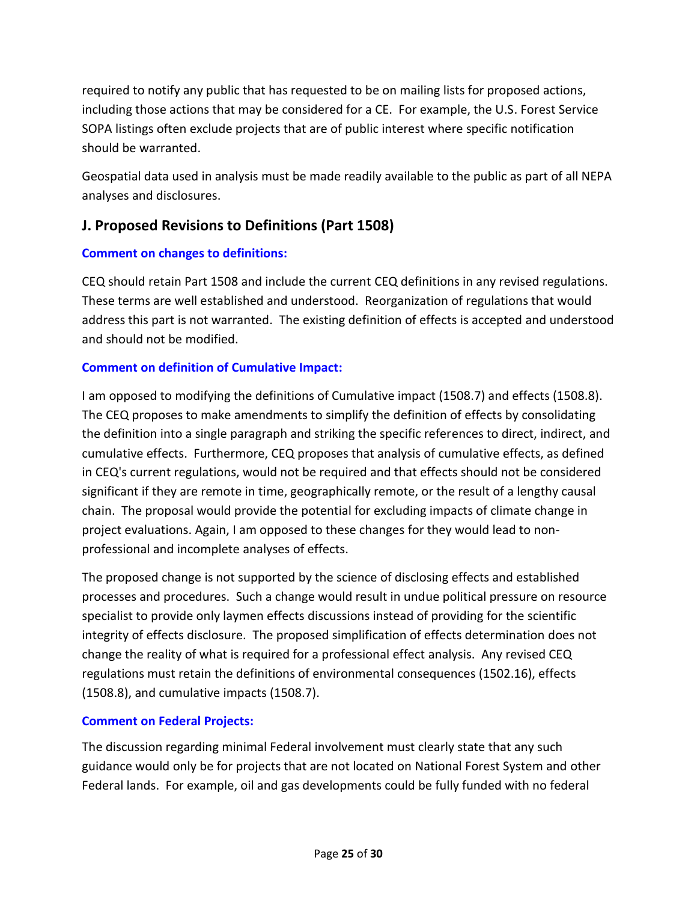required to notify any public that has requested to be on mailing lists for proposed actions, including those actions that may be considered for a CE. For example, the U.S. Forest Service SOPA listings often exclude projects that are of public interest where specific notification should be warranted.

Geospatial data used in analysis must be made readily available to the public as part of all NEPA analyses and disclosures.

# <span id="page-24-0"></span>**J. Proposed Revisions to Definitions (Part 1508)**

# **Comment on changes to definitions:**

CEQ should retain Part 1508 and include the current CEQ definitions in any revised regulations. These terms are well established and understood. Reorganization of regulations that would address this part is not warranted. The existing definition of effects is accepted and understood and should not be modified.

# **Comment on definition of Cumulative Impact:**

I am opposed to modifying the definitions of Cumulative impact (1508.7) and effects (1508.8). The CEQ proposes to make amendments to simplify the definition of effects by consolidating the definition into a single paragraph and striking the specific references to direct, indirect, and cumulative effects. Furthermore, CEQ proposes that analysis of cumulative effects, as defined in CEQ's current regulations, would not be required and that effects should not be considered significant if they are remote in time, geographically remote, or the result of a lengthy causal chain. The proposal would provide the potential for excluding impacts of climate change in project evaluations. Again, I am opposed to these changes for they would lead to nonprofessional and incomplete analyses of effects.

The proposed change is not supported by the science of disclosing effects and established processes and procedures. Such a change would result in undue political pressure on resource specialist to provide only laymen effects discussions instead of providing for the scientific integrity of effects disclosure. The proposed simplification of effects determination does not change the reality of what is required for a professional effect analysis. Any revised CEQ regulations must retain the definitions of environmental consequences (1502.16), effects (1508.8), and cumulative impacts (1508.7).

# **Comment on Federal Projects:**

The discussion regarding minimal Federal involvement must clearly state that any such guidance would only be for projects that are not located on National Forest System and other Federal lands. For example, oil and gas developments could be fully funded with no federal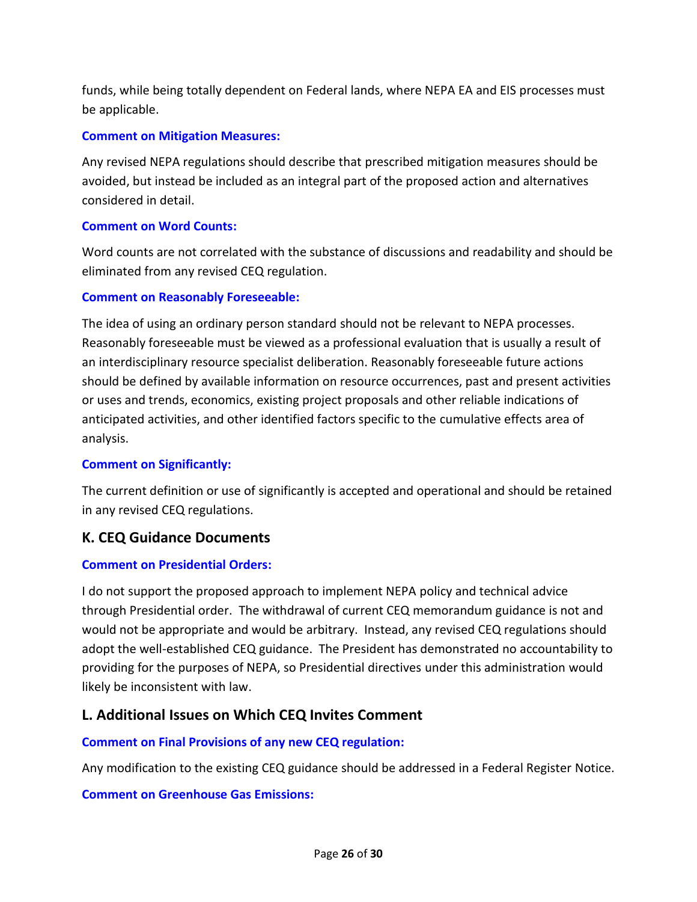funds, while being totally dependent on Federal lands, where NEPA EA and EIS processes must be applicable.

#### **Comment on Mitigation Measures:**

Any revised NEPA regulations should describe that prescribed mitigation measures should be avoided, but instead be included as an integral part of the proposed action and alternatives considered in detail.

#### **Comment on Word Counts:**

Word counts are not correlated with the substance of discussions and readability and should be eliminated from any revised CEQ regulation.

#### **Comment on Reasonably Foreseeable:**

The idea of using an ordinary person standard should not be relevant to NEPA processes. Reasonably foreseeable must be viewed as a professional evaluation that is usually a result of an interdisciplinary resource specialist deliberation. Reasonably foreseeable future actions should be defined by available information on resource occurrences, past and present activities or uses and trends, economics, existing project proposals and other reliable indications of anticipated activities, and other identified factors specific to the cumulative effects area of analysis.

#### **Comment on Significantly:**

The current definition or use of significantly is accepted and operational and should be retained in any revised CEQ regulations.

# <span id="page-25-0"></span>**K. CEQ Guidance Documents**

#### **Comment on Presidential Orders:**

I do not support the proposed approach to implement NEPA policy and technical advice through Presidential order. The withdrawal of current CEQ memorandum guidance is not and would not be appropriate and would be arbitrary. Instead, any revised CEQ regulations should adopt the well-established CEQ guidance. The President has demonstrated no accountability to providing for the purposes of NEPA, so Presidential directives under this administration would likely be inconsistent with law.

# <span id="page-25-1"></span>**L. Additional Issues on Which CEQ Invites Comment**

#### **Comment on Final Provisions of any new CEQ regulation:**

Any modification to the existing CEQ guidance should be addressed in a Federal Register Notice.

#### **Comment on Greenhouse Gas Emissions:**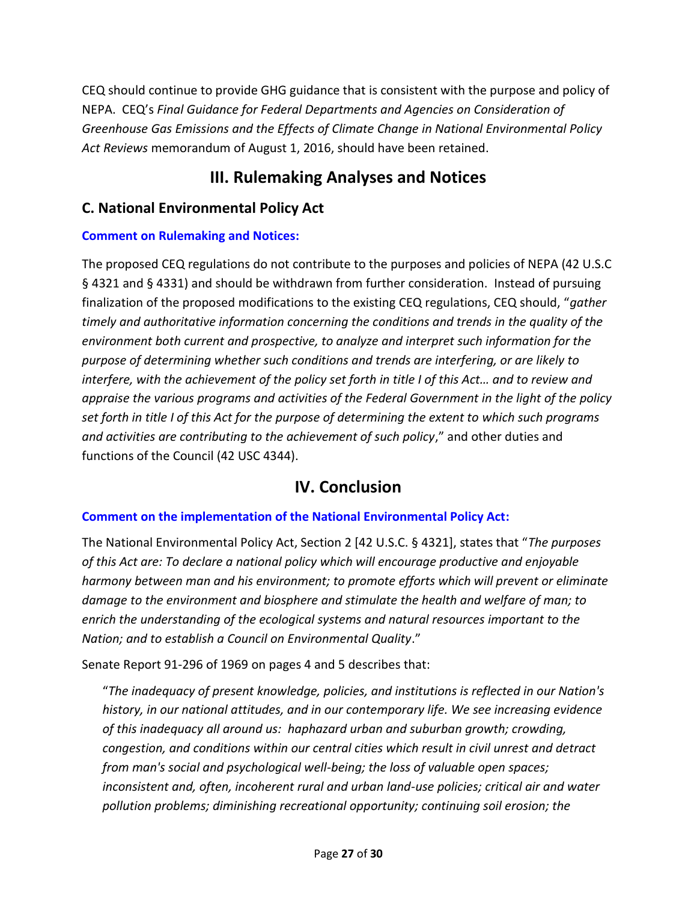CEQ should continue to provide GHG guidance that is consistent with the purpose and policy of NEPA. CEQ's *Final Guidance for Federal Departments and Agencies on Consideration of Greenhouse Gas Emissions and the Effects of Climate Change in National Environmental Policy Act Reviews* memorandum of August 1, 2016, should have been retained.

# **III. Rulemaking Analyses and Notices**

# <span id="page-26-1"></span><span id="page-26-0"></span>**C. National Environmental Policy Act**

# **Comment on Rulemaking and Notices:**

The proposed CEQ regulations do not contribute to the purposes and policies of NEPA (42 U.S.C § 4321 and § 4331) and should be withdrawn from further consideration. Instead of pursuing finalization of the proposed modifications to the existing CEQ regulations, CEQ should, "*gather timely and authoritative information concerning the conditions and trends in the quality of the environment both current and prospective, to analyze and interpret such information for the purpose of determining whether such conditions and trends are interfering, or are likely to interfere, with the achievement of the policy set forth in title I of this Act… and to review and appraise the various programs and activities of the Federal Government in the light of the policy set forth in title I of this Act for the purpose of determining the extent to which such programs and activities are contributing to the achievement of such policy*," and other duties and functions of the Council (42 USC 4344).

# **IV. Conclusion**

#### <span id="page-26-2"></span>**Comment on the implementation of the National Environmental Policy Act:**

The National Environmental Policy Act, Section 2 [42 U.S.C. § 4321], states that "*The purposes of this Act are: To declare a national policy which will encourage productive and enjoyable harmony between man and his environment; to promote efforts which will prevent or eliminate damage to the environment and biosphere and stimulate the health and welfare of man; to enrich the understanding of the ecological systems and natural resources important to the Nation; and to establish a Council on Environmental Quality*."

Senate Report 91-296 of 1969 on pages 4 and 5 describes that:

"*The inadequacy of present knowledge, policies, and institutions is reflected in our Nation's history, in our national attitudes, and in our contemporary life. We see increasing evidence of this inadequacy all around us: haphazard urban and suburban growth; crowding, congestion, and conditions within our central cities which result in civil unrest and detract from man's social and psychological well-being; the loss of valuable open spaces; inconsistent and, often, incoherent rural and urban land-use policies; critical air and water pollution problems; diminishing recreational opportunity; continuing soil erosion; the*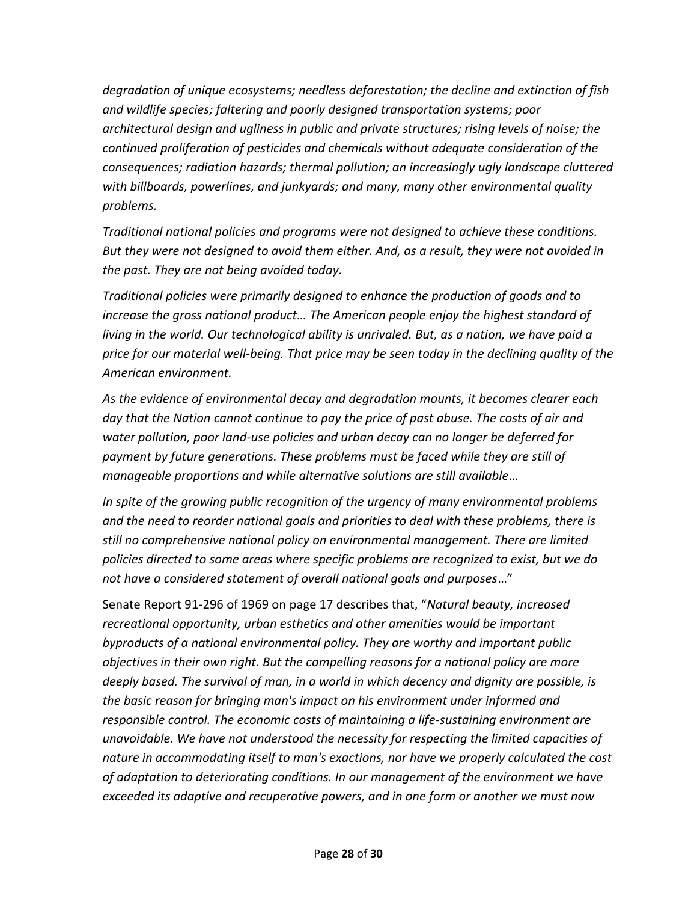*degradation of unique ecosystems; needless deforestation; the decline and extinction of fish and wildlife species; faltering and poorly designed transportation systems; poor architectural design and ugliness in public and private structures; rising levels of noise; the continued proliferation of pesticides and chemicals without adequate consideration of the consequences; radiation hazards; thermal pollution; an increasingly ugly landscape cluttered with billboards, powerlines, and junkyards; and many, many other environmental quality problems.* 

*Traditional national policies and programs were not designed to achieve these conditions. But they were not designed to avoid them either. And, as a result, they were not avoided in the past. They are not being avoided today.*

*Traditional policies were primarily designed to enhance the production of goods and to increase the gross national product… The American people enjoy the highest standard of living in the world. Our technological ability is unrivaled. But, as a nation, we have paid a price for our material well-being. That price may be seen today in the declining quality of the American environment.*

*As the evidence of environmental decay and degradation mounts, it becomes clearer each day that the Nation cannot continue to pay the price of past abuse. The costs of air and water pollution, poor land-use policies and urban decay can no longer be deferred for payment by future generations. These problems must be faced while they are still of manageable proportions and while alternative solutions are still available*…

*In spite of the growing public recognition of the urgency of many environmental problems and the need to reorder national goals and priorities to deal with these problems, there is still no comprehensive national policy on environmental management. There are limited policies directed to some areas where specific problems are recognized to exist, but we do not have a considered statement of overall national goals and purposes*…"

Senate Report 91-296 of 1969 on page 17 describes that, "*Natural beauty, increased recreational opportunity, urban esthetics and other amenities would be important byproducts of a national environmental policy. They are worthy and important public objectives in their own right. But the compelling reasons for a national policy are more deeply based. The survival of man, in a world in which decency and dignity are possible, is the basic reason for bringing man's impact on his environment under informed and responsible control. The economic costs of maintaining a life-sustaining environment are unavoidable. We have not understood the necessity for respecting the limited capacities of nature in accommodating itself to man's exactions, nor have we properly calculated the cost of adaptation to deteriorating conditions. In our management of the environment we have exceeded its adaptive and recuperative powers, and in one form or another we must now*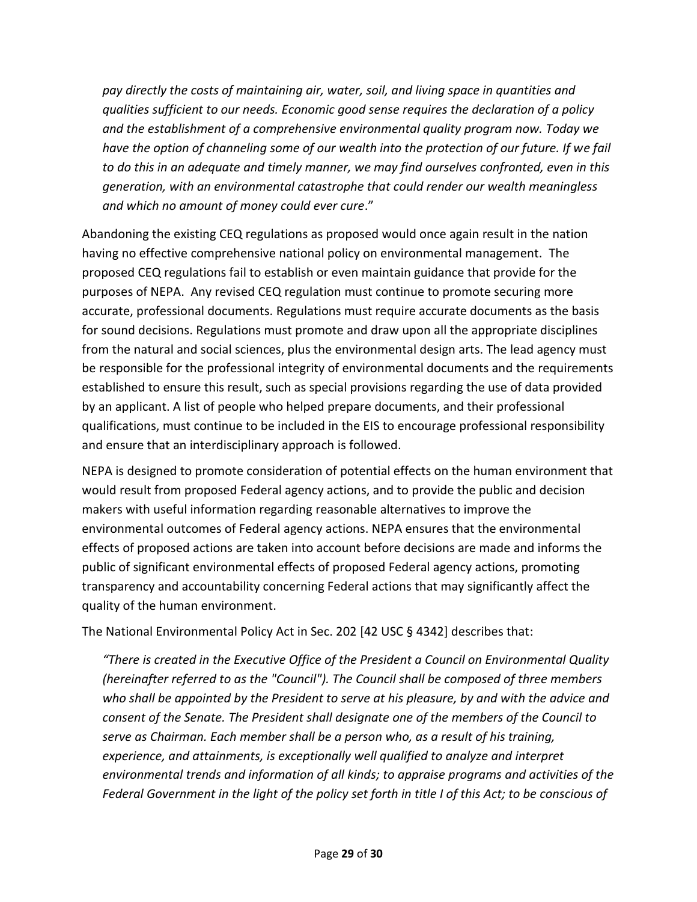*pay directly the costs of maintaining air, water, soil, and living space in quantities and qualities sufficient to our needs. Economic good sense requires the declaration of a policy and the establishment of a comprehensive environmental quality program now. Today we*  have the option of channeling some of our wealth into the protection of our future. If we fail *to do this in an adequate and timely manner, we may find ourselves confronted, even in this generation, with an environmental catastrophe that could render our wealth meaningless and which no amount of money could ever cure*."

Abandoning the existing CEQ regulations as proposed would once again result in the nation having no effective comprehensive national policy on environmental management. The proposed CEQ regulations fail to establish or even maintain guidance that provide for the purposes of NEPA. Any revised CEQ regulation must continue to promote securing more accurate, professional documents. Regulations must require accurate documents as the basis for sound decisions. Regulations must promote and draw upon all the appropriate disciplines from the natural and social sciences, plus the environmental design arts. The lead agency must be responsible for the professional integrity of environmental documents and the requirements established to ensure this result, such as special provisions regarding the use of data provided by an applicant. A list of people who helped prepare documents, and their professional qualifications, must continue to be included in the EIS to encourage professional responsibility and ensure that an interdisciplinary approach is followed.

NEPA is designed to promote consideration of potential effects on the human environment that would result from proposed Federal agency actions, and to provide the public and decision makers with useful information regarding reasonable alternatives to improve the environmental outcomes of Federal agency actions. NEPA ensures that the environmental effects of proposed actions are taken into account before decisions are made and informs the public of significant environmental effects of proposed Federal agency actions, promoting transparency and accountability concerning Federal actions that may significantly affect the quality of the human environment.

The National Environmental Policy Act in Sec. 202 [42 USC § 4342] describes that:

*"There is created in the Executive Office of the President a Council on Environmental Quality (hereinafter referred to as the "Council"). The Council shall be composed of three members who shall be appointed by the President to serve at his pleasure, by and with the advice and consent of the Senate. The President shall designate one of the members of the Council to serve as Chairman. Each member shall be a person who, as a result of his training, experience, and attainments, is exceptionally well qualified to analyze and interpret environmental trends and information of all kinds; to appraise programs and activities of the Federal Government in the light of the policy set forth in title I of this Act; to be conscious of*